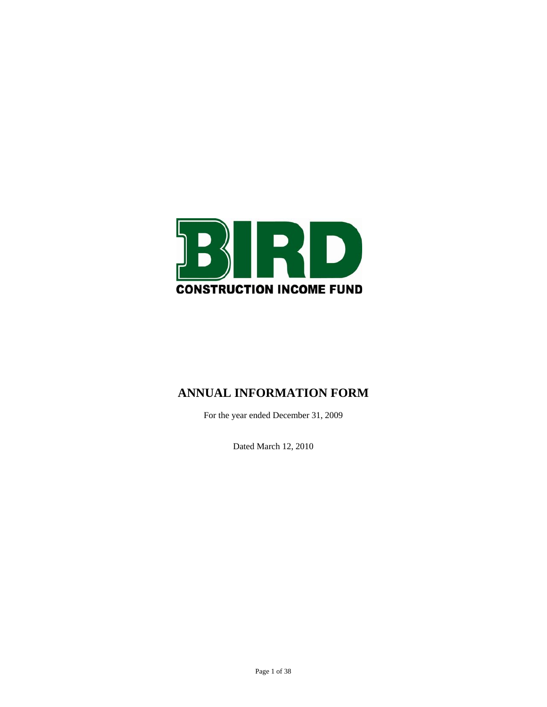

# **ANNUAL INFORMATION FORM**

For the year ended December 31, 2009

Dated March 12, 2010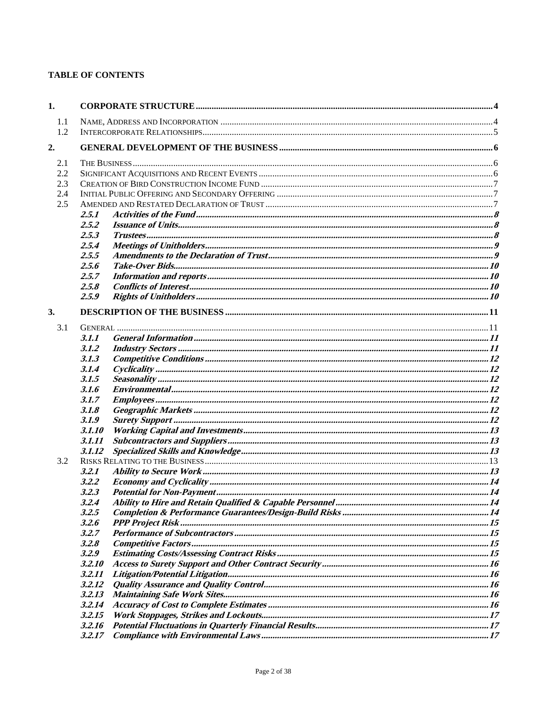# **TABLE OF CONTENTS**

| 1.  |        |  |  |  |
|-----|--------|--|--|--|
| 1.1 |        |  |  |  |
| 1.2 |        |  |  |  |
| 2.  |        |  |  |  |
| 2.1 |        |  |  |  |
| 2.2 |        |  |  |  |
| 2.3 |        |  |  |  |
| 2.4 |        |  |  |  |
| 2.5 |        |  |  |  |
|     | 2.5.1  |  |  |  |
|     | 2.5.2  |  |  |  |
|     | 2.5.3  |  |  |  |
|     | 2.5.4  |  |  |  |
|     | 2.5.5  |  |  |  |
|     | 2.5.6  |  |  |  |
|     | 2.5.7  |  |  |  |
|     | 2.5.8  |  |  |  |
|     | 2.5.9  |  |  |  |
| 3.  |        |  |  |  |
| 3.1 |        |  |  |  |
|     | 3.1.1  |  |  |  |
|     | 3.1.2  |  |  |  |
|     | 3.1.3  |  |  |  |
|     | 3.1.4  |  |  |  |
|     | 3.1.5  |  |  |  |
|     | 3.1.6  |  |  |  |
|     | 3.1.7  |  |  |  |
|     | 3.1.8  |  |  |  |
|     | 3.1.9  |  |  |  |
|     | 3.1.10 |  |  |  |
|     | 3.1.11 |  |  |  |
|     | 3.1.12 |  |  |  |
| 3.2 |        |  |  |  |
|     | 3.2.1  |  |  |  |
|     | 3.2.2  |  |  |  |
|     | 3.2.3  |  |  |  |
|     |        |  |  |  |
|     | 3.2.5  |  |  |  |
|     | 3.2.6  |  |  |  |
|     | 3.2.7  |  |  |  |
|     | 3.2.8  |  |  |  |
|     | 3.2.9  |  |  |  |
|     | 3.2.10 |  |  |  |
|     | 3.2.11 |  |  |  |
|     | 3.2.12 |  |  |  |
|     | 3.2.13 |  |  |  |
|     | 3.2.14 |  |  |  |
|     | 3.2.15 |  |  |  |
|     | 3.2.16 |  |  |  |
|     | 3.2.17 |  |  |  |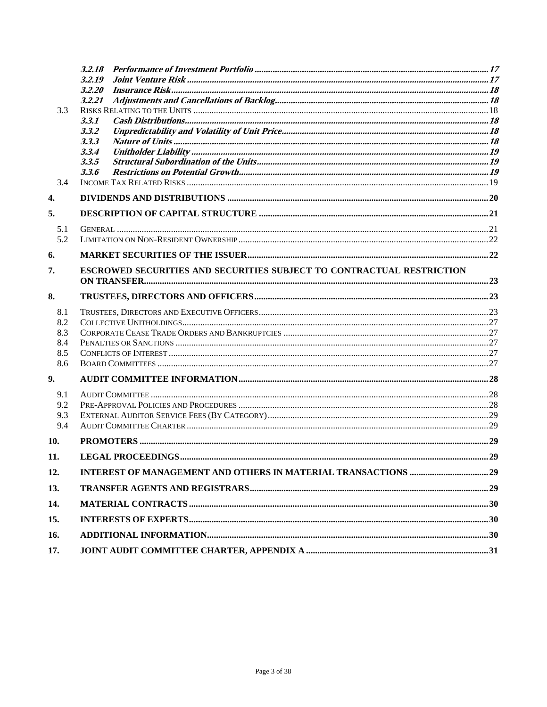|            | 3.2.20                                                                |  |
|------------|-----------------------------------------------------------------------|--|
|            | 3.2.21                                                                |  |
| 3.3        |                                                                       |  |
|            | 3.3.1                                                                 |  |
|            | 3.3.2                                                                 |  |
|            | 3.3.3                                                                 |  |
|            | 3.3.4                                                                 |  |
|            | 3.3.5                                                                 |  |
|            | 3.3.6                                                                 |  |
| 3.4        |                                                                       |  |
| 4.         |                                                                       |  |
| 5.         |                                                                       |  |
| 5.1        |                                                                       |  |
| 5.2        |                                                                       |  |
| 6.         |                                                                       |  |
| 7.         | ESCROWED SECURITIES AND SECURITIES SUBJECT TO CONTRACTUAL RESTRICTION |  |
|            |                                                                       |  |
| 8.         |                                                                       |  |
| 8.1        |                                                                       |  |
| 8.2        |                                                                       |  |
| 8.3        |                                                                       |  |
| 8.4<br>8.5 |                                                                       |  |
| 8.6        |                                                                       |  |
| 9.         |                                                                       |  |
| 9.1        |                                                                       |  |
| 9.2        |                                                                       |  |
| 9.3        |                                                                       |  |
| 9.4        |                                                                       |  |
| 10.        |                                                                       |  |
| 11.        |                                                                       |  |
| 12.        |                                                                       |  |
| 13.        |                                                                       |  |
| 14.        |                                                                       |  |
| 15.        |                                                                       |  |
| 16.        |                                                                       |  |
| 17.        |                                                                       |  |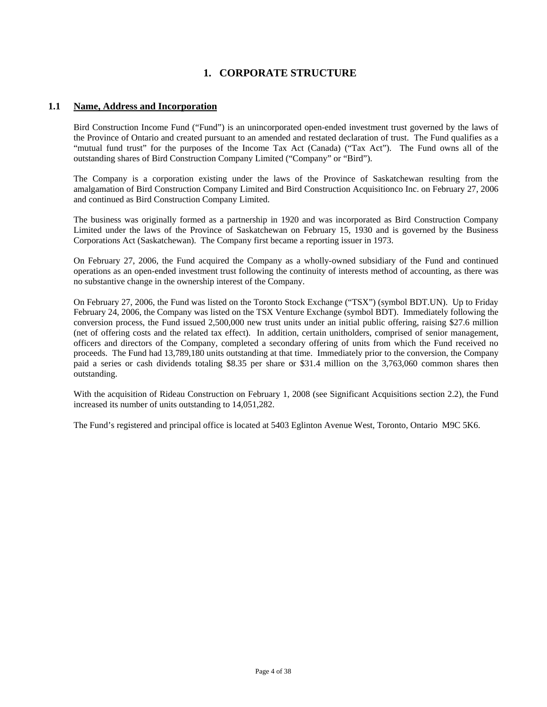# **1. CORPORATE STRUCTURE**

### **1.1 Name, Address and Incorporation**

Bird Construction Income Fund ("Fund") is an unincorporated open-ended investment trust governed by the laws of the Province of Ontario and created pursuant to an amended and restated declaration of trust. The Fund qualifies as a "mutual fund trust" for the purposes of the Income Tax Act (Canada) ("Tax Act"). The Fund owns all of the outstanding shares of Bird Construction Company Limited ("Company" or "Bird").

The Company is a corporation existing under the laws of the Province of Saskatchewan resulting from the amalgamation of Bird Construction Company Limited and Bird Construction Acquisitionco Inc. on February 27, 2006 and continued as Bird Construction Company Limited.

The business was originally formed as a partnership in 1920 and was incorporated as Bird Construction Company Limited under the laws of the Province of Saskatchewan on February 15, 1930 and is governed by the Business Corporations Act (Saskatchewan). The Company first became a reporting issuer in 1973.

On February 27, 2006, the Fund acquired the Company as a wholly-owned subsidiary of the Fund and continued operations as an open-ended investment trust following the continuity of interests method of accounting, as there was no substantive change in the ownership interest of the Company.

On February 27, 2006, the Fund was listed on the Toronto Stock Exchange ("TSX") (symbol BDT.UN). Up to Friday February 24, 2006, the Company was listed on the TSX Venture Exchange (symbol BDT). Immediately following the conversion process, the Fund issued 2,500,000 new trust units under an initial public offering, raising \$27.6 million (net of offering costs and the related tax effect). In addition, certain unitholders, comprised of senior management, officers and directors of the Company, completed a secondary offering of units from which the Fund received no proceeds. The Fund had 13,789,180 units outstanding at that time. Immediately prior to the conversion, the Company paid a series or cash dividends totaling \$8.35 per share or \$31.4 million on the 3,763,060 common shares then outstanding.

With the acquisition of Rideau Construction on February 1, 2008 (see Significant Acquisitions section 2.2), the Fund increased its number of units outstanding to 14,051,282.

The Fund's registered and principal office is located at 5403 Eglinton Avenue West, Toronto, Ontario M9C 5K6.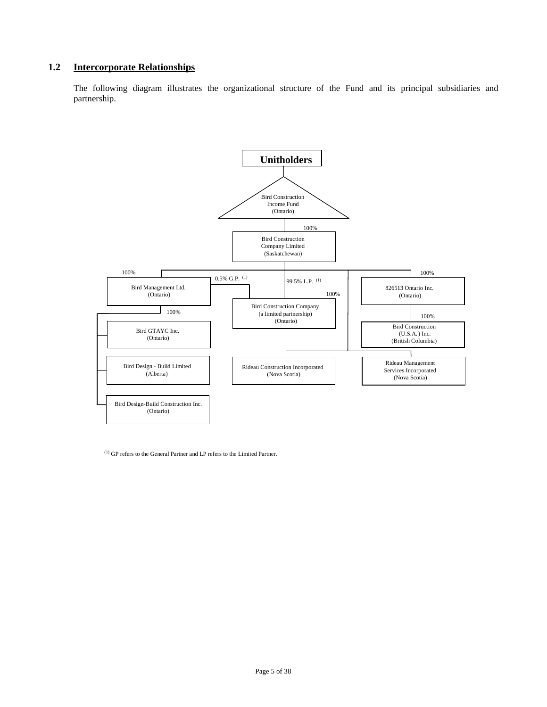### **1.2 Intercorporate Relationships**

The following diagram illustrates the organizational structure of the Fund and its principal subsidiaries and partnership.



(1) GP refers to the General Partner and LP refers to the Limited Partner.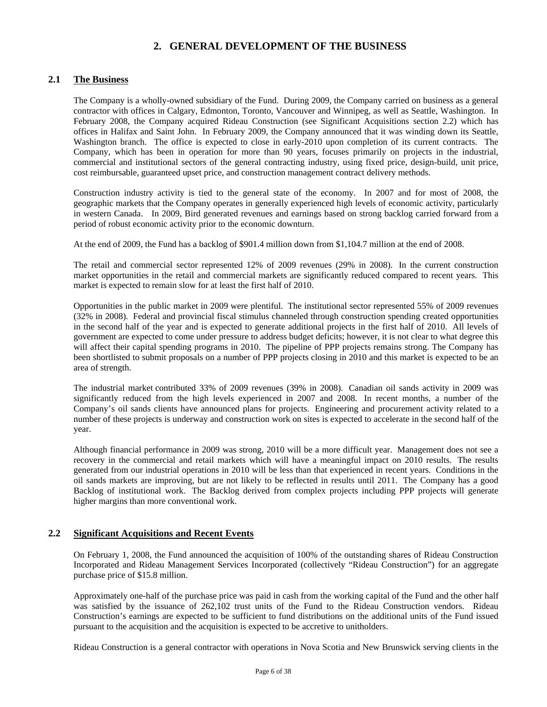# **2. GENERAL DEVELOPMENT OF THE BUSINESS**

# **2.1 The Business**

The Company is a wholly-owned subsidiary of the Fund. During 2009, the Company carried on business as a general contractor with offices in Calgary, Edmonton, Toronto, Vancouver and Winnipeg, as well as Seattle, Washington. In February 2008, the Company acquired Rideau Construction (see Significant Acquisitions section 2.2) which has offices in Halifax and Saint John. In February 2009, the Company announced that it was winding down its Seattle, Washington branch. The office is expected to close in early-2010 upon completion of its current contracts. The Company, which has been in operation for more than 90 years, focuses primarily on projects in the industrial, commercial and institutional sectors of the general contracting industry, using fixed price, design-build, unit price, cost reimbursable, guaranteed upset price, and construction management contract delivery methods.

Construction industry activity is tied to the general state of the economy. In 2007 and for most of 2008, the geographic markets that the Company operates in generally experienced high levels of economic activity, particularly in western Canada. In 2009, Bird generated revenues and earnings based on strong backlog carried forward from a period of robust economic activity prior to the economic downturn.

At the end of 2009, the Fund has a backlog of \$901.4 million down from \$1,104.7 million at the end of 2008.

The retail and commercial sector represented 12% of 2009 revenues (29% in 2008). In the current construction market opportunities in the retail and commercial markets are significantly reduced compared to recent years. This market is expected to remain slow for at least the first half of 2010.

Opportunities in the public market in 2009 were plentiful. The institutional sector represented 55% of 2009 revenues (32% in 2008). Federal and provincial fiscal stimulus channeled through construction spending created opportunities in the second half of the year and is expected to generate additional projects in the first half of 2010. All levels of government are expected to come under pressure to address budget deficits; however, it is not clear to what degree this will affect their capital spending programs in 2010. The pipeline of PPP projects remains strong. The Company has been shortlisted to submit proposals on a number of PPP projects closing in 2010 and this market is expected to be an area of strength.

The industrial market contributed 33% of 2009 revenues (39% in 2008). Canadian oil sands activity in 2009 was significantly reduced from the high levels experienced in 2007 and 2008. In recent months, a number of the Company's oil sands clients have announced plans for projects. Engineering and procurement activity related to a number of these projects is underway and construction work on sites is expected to accelerate in the second half of the year.

Although financial performance in 2009 was strong, 2010 will be a more difficult year. Management does not see a recovery in the commercial and retail markets which will have a meaningful impact on 2010 results. The results generated from our industrial operations in 2010 will be less than that experienced in recent years. Conditions in the oil sands markets are improving, but are not likely to be reflected in results until 2011. The Company has a good Backlog of institutional work. The Backlog derived from complex projects including PPP projects will generate higher margins than more conventional work.

### **2.2 Significant Acquisitions and Recent Events**

On February 1, 2008, the Fund announced the acquisition of 100% of the outstanding shares of Rideau Construction Incorporated and Rideau Management Services Incorporated (collectively "Rideau Construction") for an aggregate purchase price of \$15.8 million.

Approximately one-half of the purchase price was paid in cash from the working capital of the Fund and the other half was satisfied by the issuance of 262,102 trust units of the Fund to the Rideau Construction vendors. Rideau Construction's earnings are expected to be sufficient to fund distributions on the additional units of the Fund issued pursuant to the acquisition and the acquisition is expected to be accretive to unitholders.

Rideau Construction is a general contractor with operations in Nova Scotia and New Brunswick serving clients in the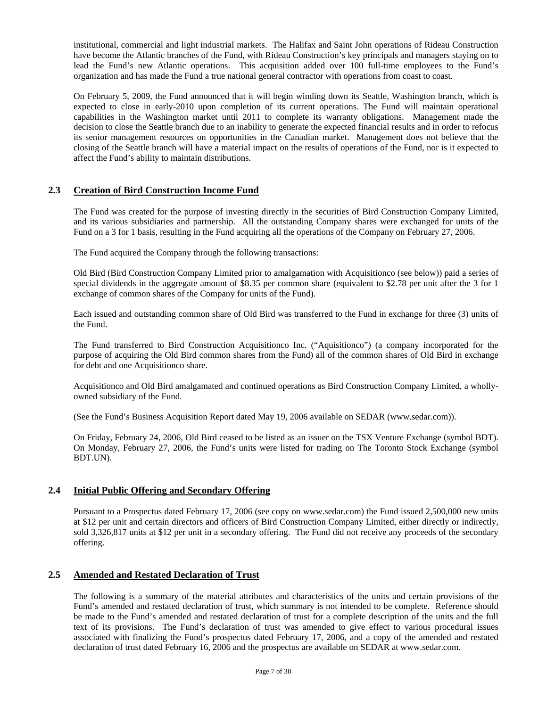institutional, commercial and light industrial markets. The Halifax and Saint John operations of Rideau Construction have become the Atlantic branches of the Fund, with Rideau Construction's key principals and managers staying on to lead the Fund's new Atlantic operations. This acquisition added over 100 full-time employees to the Fund's organization and has made the Fund a true national general contractor with operations from coast to coast.

On February 5, 2009, the Fund announced that it will begin winding down its Seattle, Washington branch, which is expected to close in early-2010 upon completion of its current operations. The Fund will maintain operational capabilities in the Washington market until 2011 to complete its warranty obligations. Management made the decision to close the Seattle branch due to an inability to generate the expected financial results and in order to refocus its senior management resources on opportunities in the Canadian market. Management does not believe that the closing of the Seattle branch will have a material impact on the results of operations of the Fund, nor is it expected to affect the Fund's ability to maintain distributions.

### **2.3 Creation of Bird Construction Income Fund**

The Fund was created for the purpose of investing directly in the securities of Bird Construction Company Limited, and its various subsidiaries and partnership. All the outstanding Company shares were exchanged for units of the Fund on a 3 for 1 basis, resulting in the Fund acquiring all the operations of the Company on February 27, 2006.

The Fund acquired the Company through the following transactions:

Old Bird (Bird Construction Company Limited prior to amalgamation with Acquisitionco (see below)) paid a series of special dividends in the aggregate amount of \$8.35 per common share (equivalent to \$2.78 per unit after the 3 for 1 exchange of common shares of the Company for units of the Fund).

Each issued and outstanding common share of Old Bird was transferred to the Fund in exchange for three (3) units of the Fund.

The Fund transferred to Bird Construction Acquisitionco Inc. ("Aquisitionco") (a company incorporated for the purpose of acquiring the Old Bird common shares from the Fund) all of the common shares of Old Bird in exchange for debt and one Acquisitionco share.

Acquisitionco and Old Bird amalgamated and continued operations as Bird Construction Company Limited, a whollyowned subsidiary of the Fund.

(See the Fund's Business Acquisition Report dated May 19, 2006 available on SEDAR (www.sedar.com)).

On Friday, February 24, 2006, Old Bird ceased to be listed as an issuer on the TSX Venture Exchange (symbol BDT). On Monday, February 27, 2006, the Fund's units were listed for trading on The Toronto Stock Exchange (symbol BDT.UN).

### **2.4 Initial Public Offering and Secondary Offering**

Pursuant to a Prospectus dated February 17, 2006 (see copy on www.sedar.com) the Fund issued 2,500,000 new units at \$12 per unit and certain directors and officers of Bird Construction Company Limited, either directly or indirectly, sold 3,326,817 units at \$12 per unit in a secondary offering. The Fund did not receive any proceeds of the secondary offering.

# **2.5 Amended and Restated Declaration of Trust**

The following is a summary of the material attributes and characteristics of the units and certain provisions of the Fund's amended and restated declaration of trust, which summary is not intended to be complete. Reference should be made to the Fund's amended and restated declaration of trust for a complete description of the units and the full text of its provisions. The Fund's declaration of trust was amended to give effect to various procedural issues associated with finalizing the Fund's prospectus dated February 17, 2006, and a copy of the amended and restated declaration of trust dated February 16, 2006 and the prospectus are available on SEDAR at www.sedar.com.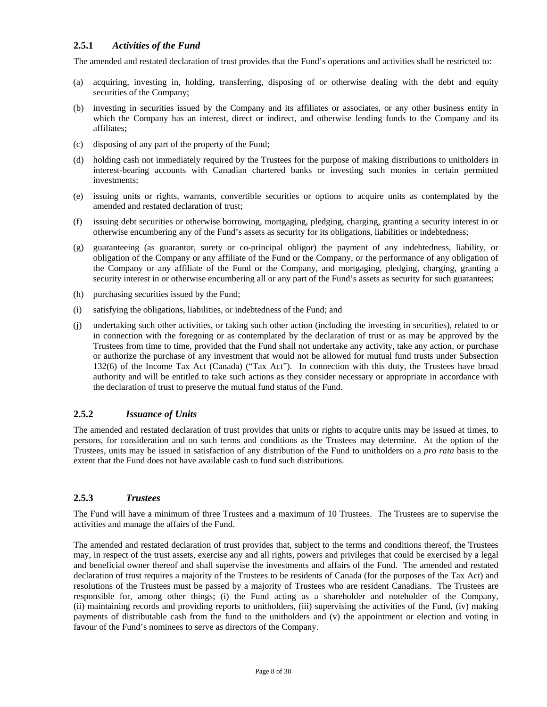### **2.5.1** *Activities of the Fund*

The amended and restated declaration of trust provides that the Fund's operations and activities shall be restricted to:

- (a) acquiring, investing in, holding, transferring, disposing of or otherwise dealing with the debt and equity securities of the Company;
- (b) investing in securities issued by the Company and its affiliates or associates, or any other business entity in which the Company has an interest, direct or indirect, and otherwise lending funds to the Company and its affiliates;
- (c) disposing of any part of the property of the Fund;
- (d) holding cash not immediately required by the Trustees for the purpose of making distributions to unitholders in interest-bearing accounts with Canadian chartered banks or investing such monies in certain permitted investments;
- (e) issuing units or rights, warrants, convertible securities or options to acquire units as contemplated by the amended and restated declaration of trust;
- (f) issuing debt securities or otherwise borrowing, mortgaging, pledging, charging, granting a security interest in or otherwise encumbering any of the Fund's assets as security for its obligations, liabilities or indebtedness;
- (g) guaranteeing (as guarantor, surety or co-principal obligor) the payment of any indebtedness, liability, or obligation of the Company or any affiliate of the Fund or the Company, or the performance of any obligation of the Company or any affiliate of the Fund or the Company, and mortgaging, pledging, charging, granting a security interest in or otherwise encumbering all or any part of the Fund's assets as security for such guarantees;
- (h) purchasing securities issued by the Fund;
- (i) satisfying the obligations, liabilities, or indebtedness of the Fund; and
- (j) undertaking such other activities, or taking such other action (including the investing in securities), related to or in connection with the foregoing or as contemplated by the declaration of trust or as may be approved by the Trustees from time to time, provided that the Fund shall not undertake any activity, take any action, or purchase or authorize the purchase of any investment that would not be allowed for mutual fund trusts under Subsection 132(6) of the Income Tax Act (Canada) ("Tax Act"). In connection with this duty, the Trustees have broad authority and will be entitled to take such actions as they consider necessary or appropriate in accordance with the declaration of trust to preserve the mutual fund status of the Fund.

### **2.5.2** *Issuance of Units*

The amended and restated declaration of trust provides that units or rights to acquire units may be issued at times, to persons, for consideration and on such terms and conditions as the Trustees may determine. At the option of the Trustees, units may be issued in satisfaction of any distribution of the Fund to unitholders on a *pro rata* basis to the extent that the Fund does not have available cash to fund such distributions.

# **2.5.3** *Trustees*

The Fund will have a minimum of three Trustees and a maximum of 10 Trustees. The Trustees are to supervise the activities and manage the affairs of the Fund.

The amended and restated declaration of trust provides that, subject to the terms and conditions thereof, the Trustees may, in respect of the trust assets, exercise any and all rights, powers and privileges that could be exercised by a legal and beneficial owner thereof and shall supervise the investments and affairs of the Fund. The amended and restated declaration of trust requires a majority of the Trustees to be residents of Canada (for the purposes of the Tax Act) and resolutions of the Trustees must be passed by a majority of Trustees who are resident Canadians. The Trustees are responsible for, among other things; (i) the Fund acting as a shareholder and noteholder of the Company, (ii) maintaining records and providing reports to unitholders, (iii) supervising the activities of the Fund, (iv) making payments of distributable cash from the fund to the unitholders and (v) the appointment or election and voting in favour of the Fund's nominees to serve as directors of the Company.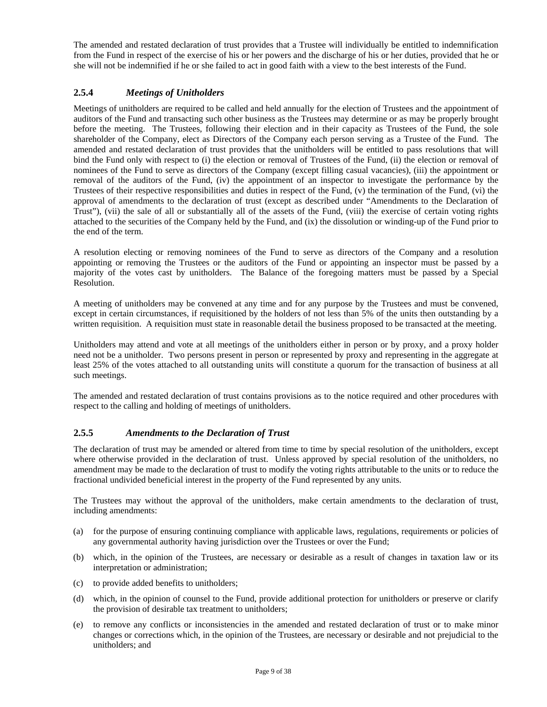The amended and restated declaration of trust provides that a Trustee will individually be entitled to indemnification from the Fund in respect of the exercise of his or her powers and the discharge of his or her duties, provided that he or she will not be indemnified if he or she failed to act in good faith with a view to the best interests of the Fund.

# **2.5.4** *Meetings of Unitholders*

Meetings of unitholders are required to be called and held annually for the election of Trustees and the appointment of auditors of the Fund and transacting such other business as the Trustees may determine or as may be properly brought before the meeting. The Trustees, following their election and in their capacity as Trustees of the Fund, the sole shareholder of the Company, elect as Directors of the Company each person serving as a Trustee of the Fund. The amended and restated declaration of trust provides that the unitholders will be entitled to pass resolutions that will bind the Fund only with respect to (i) the election or removal of Trustees of the Fund, (ii) the election or removal of nominees of the Fund to serve as directors of the Company (except filling casual vacancies), (iii) the appointment or removal of the auditors of the Fund, (iv) the appointment of an inspector to investigate the performance by the Trustees of their respective responsibilities and duties in respect of the Fund, (v) the termination of the Fund, (vi) the approval of amendments to the declaration of trust (except as described under "Amendments to the Declaration of Trust"), (vii) the sale of all or substantially all of the assets of the Fund, (viii) the exercise of certain voting rights attached to the securities of the Company held by the Fund, and (ix) the dissolution or winding-up of the Fund prior to the end of the term.

A resolution electing or removing nominees of the Fund to serve as directors of the Company and a resolution appointing or removing the Trustees or the auditors of the Fund or appointing an inspector must be passed by a majority of the votes cast by unitholders. The Balance of the foregoing matters must be passed by a Special Resolution.

A meeting of unitholders may be convened at any time and for any purpose by the Trustees and must be convened, except in certain circumstances, if requisitioned by the holders of not less than 5% of the units then outstanding by a written requisition. A requisition must state in reasonable detail the business proposed to be transacted at the meeting.

Unitholders may attend and vote at all meetings of the unitholders either in person or by proxy, and a proxy holder need not be a unitholder. Two persons present in person or represented by proxy and representing in the aggregate at least 25% of the votes attached to all outstanding units will constitute a quorum for the transaction of business at all such meetings.

The amended and restated declaration of trust contains provisions as to the notice required and other procedures with respect to the calling and holding of meetings of unitholders.

### **2.5.5** *Amendments to the Declaration of Trust*

The declaration of trust may be amended or altered from time to time by special resolution of the unitholders, except where otherwise provided in the declaration of trust. Unless approved by special resolution of the unitholders, no amendment may be made to the declaration of trust to modify the voting rights attributable to the units or to reduce the fractional undivided beneficial interest in the property of the Fund represented by any units.

The Trustees may without the approval of the unitholders, make certain amendments to the declaration of trust, including amendments:

- (a) for the purpose of ensuring continuing compliance with applicable laws, regulations, requirements or policies of any governmental authority having jurisdiction over the Trustees or over the Fund;
- (b) which, in the opinion of the Trustees, are necessary or desirable as a result of changes in taxation law or its interpretation or administration;
- (c) to provide added benefits to unitholders;
- (d) which, in the opinion of counsel to the Fund, provide additional protection for unitholders or preserve or clarify the provision of desirable tax treatment to unitholders;
- (e) to remove any conflicts or inconsistencies in the amended and restated declaration of trust or to make minor changes or corrections which, in the opinion of the Trustees, are necessary or desirable and not prejudicial to the unitholders; and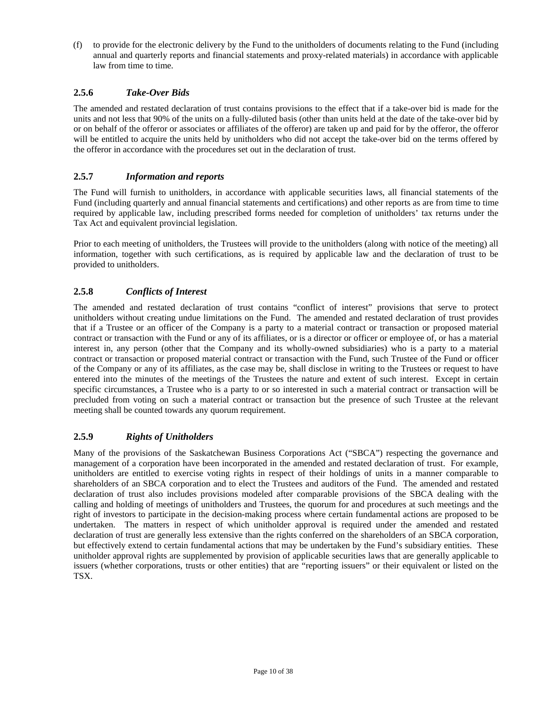(f) to provide for the electronic delivery by the Fund to the unitholders of documents relating to the Fund (including annual and quarterly reports and financial statements and proxy-related materials) in accordance with applicable law from time to time.

# **2.5.6** *Take-Over Bids*

The amended and restated declaration of trust contains provisions to the effect that if a take-over bid is made for the units and not less that 90% of the units on a fully-diluted basis (other than units held at the date of the take-over bid by or on behalf of the offeror or associates or affiliates of the offeror) are taken up and paid for by the offeror, the offeror will be entitled to acquire the units held by unitholders who did not accept the take-over bid on the terms offered by the offeror in accordance with the procedures set out in the declaration of trust.

### **2.5.7** *Information and reports*

The Fund will furnish to unitholders, in accordance with applicable securities laws, all financial statements of the Fund (including quarterly and annual financial statements and certifications) and other reports as are from time to time required by applicable law, including prescribed forms needed for completion of unitholders' tax returns under the Tax Act and equivalent provincial legislation.

Prior to each meeting of unitholders, the Trustees will provide to the unitholders (along with notice of the meeting) all information, together with such certifications, as is required by applicable law and the declaration of trust to be provided to unitholders.

# **2.5.8** *Conflicts of Interest*

The amended and restated declaration of trust contains "conflict of interest" provisions that serve to protect unitholders without creating undue limitations on the Fund. The amended and restated declaration of trust provides that if a Trustee or an officer of the Company is a party to a material contract or transaction or proposed material contract or transaction with the Fund or any of its affiliates, or is a director or officer or employee of, or has a material interest in, any person (other that the Company and its wholly-owned subsidiaries) who is a party to a material contract or transaction or proposed material contract or transaction with the Fund, such Trustee of the Fund or officer of the Company or any of its affiliates, as the case may be, shall disclose in writing to the Trustees or request to have entered into the minutes of the meetings of the Trustees the nature and extent of such interest. Except in certain specific circumstances, a Trustee who is a party to or so interested in such a material contract or transaction will be precluded from voting on such a material contract or transaction but the presence of such Trustee at the relevant meeting shall be counted towards any quorum requirement.

# **2.5.9** *Rights of Unitholders*

Many of the provisions of the Saskatchewan Business Corporations Act ("SBCA") respecting the governance and management of a corporation have been incorporated in the amended and restated declaration of trust. For example, unitholders are entitled to exercise voting rights in respect of their holdings of units in a manner comparable to shareholders of an SBCA corporation and to elect the Trustees and auditors of the Fund. The amended and restated declaration of trust also includes provisions modeled after comparable provisions of the SBCA dealing with the calling and holding of meetings of unitholders and Trustees, the quorum for and procedures at such meetings and the right of investors to participate in the decision-making process where certain fundamental actions are proposed to be undertaken. The matters in respect of which unitholder approval is required under the amended and restated declaration of trust are generally less extensive than the rights conferred on the shareholders of an SBCA corporation, but effectively extend to certain fundamental actions that may be undertaken by the Fund's subsidiary entities. These unitholder approval rights are supplemented by provision of applicable securities laws that are generally applicable to issuers (whether corporations, trusts or other entities) that are "reporting issuers" or their equivalent or listed on the TSX.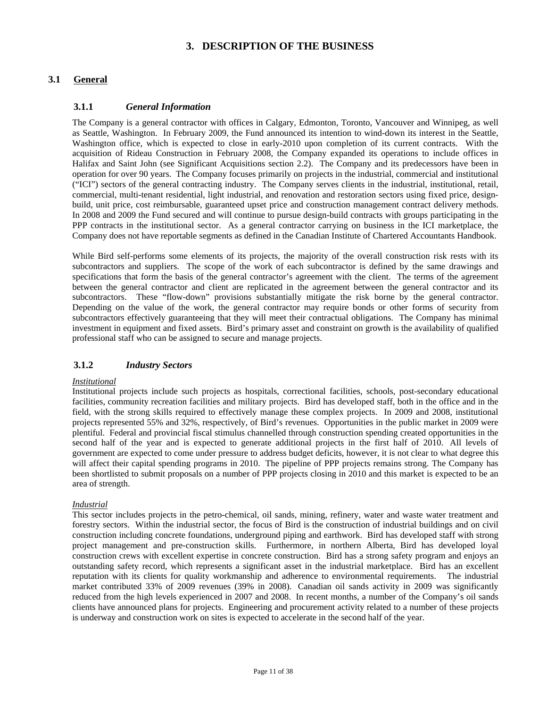# **3. DESCRIPTION OF THE BUSINESS**

# **3.1 General**

### **3.1.1** *General Information*

The Company is a general contractor with offices in Calgary, Edmonton, Toronto, Vancouver and Winnipeg, as well as Seattle, Washington. In February 2009, the Fund announced its intention to wind-down its interest in the Seattle, Washington office, which is expected to close in early-2010 upon completion of its current contracts. With the acquisition of Rideau Construction in February 2008, the Company expanded its operations to include offices in Halifax and Saint John (see Significant Acquisitions section 2.2). The Company and its predecessors have been in operation for over 90 years. The Company focuses primarily on projects in the industrial, commercial and institutional ("ICI") sectors of the general contracting industry. The Company serves clients in the industrial, institutional, retail, commercial, multi-tenant residential, light industrial, and renovation and restoration sectors using fixed price, designbuild, unit price, cost reimbursable, guaranteed upset price and construction management contract delivery methods. In 2008 and 2009 the Fund secured and will continue to pursue design-build contracts with groups participating in the PPP contracts in the institutional sector. As a general contractor carrying on business in the ICI marketplace, the Company does not have reportable segments as defined in the Canadian Institute of Chartered Accountants Handbook.

While Bird self-performs some elements of its projects, the majority of the overall construction risk rests with its subcontractors and suppliers. The scope of the work of each subcontractor is defined by the same drawings and specifications that form the basis of the general contractor's agreement with the client. The terms of the agreement between the general contractor and client are replicated in the agreement between the general contractor and its subcontractors. These "flow-down" provisions substantially mitigate the risk borne by the general contractor. Depending on the value of the work, the general contractor may require bonds or other forms of security from subcontractors effectively guaranteeing that they will meet their contractual obligations. The Company has minimal investment in equipment and fixed assets. Bird's primary asset and constraint on growth is the availability of qualified professional staff who can be assigned to secure and manage projects.

# **3.1.2** *Industry Sectors*

#### *Institutional*

Institutional projects include such projects as hospitals, correctional facilities, schools, post-secondary educational facilities, community recreation facilities and military projects. Bird has developed staff, both in the office and in the field, with the strong skills required to effectively manage these complex projects. In 2009 and 2008, institutional projects represented 55% and 32%, respectively, of Bird's revenues. Opportunities in the public market in 2009 were plentiful. Federal and provincial fiscal stimulus channelled through construction spending created opportunities in the second half of the year and is expected to generate additional projects in the first half of 2010. All levels of government are expected to come under pressure to address budget deficits, however, it is not clear to what degree this will affect their capital spending programs in 2010. The pipeline of PPP projects remains strong. The Company has been shortlisted to submit proposals on a number of PPP projects closing in 2010 and this market is expected to be an area of strength.

#### *Industrial*

This sector includes projects in the petro-chemical, oil sands, mining, refinery, water and waste water treatment and forestry sectors. Within the industrial sector, the focus of Bird is the construction of industrial buildings and on civil construction including concrete foundations, underground piping and earthwork. Bird has developed staff with strong project management and pre-construction skills. Furthermore, in northern Alberta, Bird has developed loyal construction crews with excellent expertise in concrete construction. Bird has a strong safety program and enjoys an outstanding safety record, which represents a significant asset in the industrial marketplace. Bird has an excellent reputation with its clients for quality workmanship and adherence to environmental requirements. The industrial market contributed 33% of 2009 revenues (39% in 2008). Canadian oil sands activity in 2009 was significantly reduced from the high levels experienced in 2007 and 2008. In recent months, a number of the Company's oil sands clients have announced plans for projects. Engineering and procurement activity related to a number of these projects is underway and construction work on sites is expected to accelerate in the second half of the year.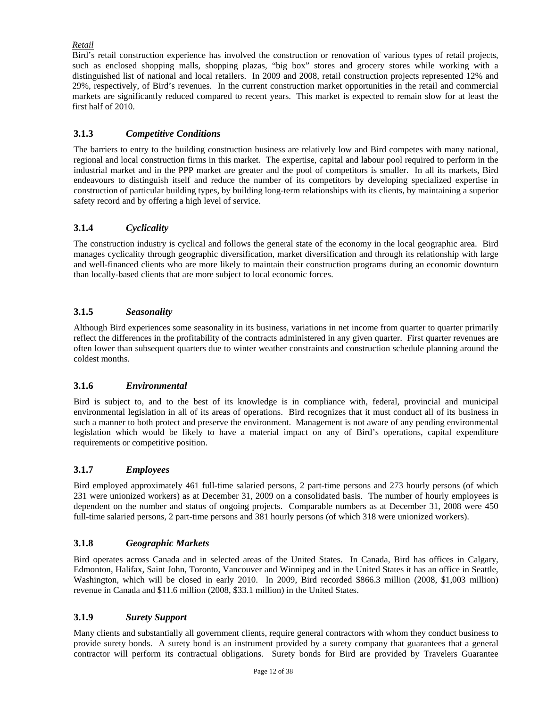# *Retail*

Bird's retail construction experience has involved the construction or renovation of various types of retail projects, such as enclosed shopping malls, shopping plazas, "big box" stores and grocery stores while working with a distinguished list of national and local retailers. In 2009 and 2008, retail construction projects represented 12% and 29%, respectively, of Bird's revenues. In the current construction market opportunities in the retail and commercial markets are significantly reduced compared to recent years. This market is expected to remain slow for at least the first half of 2010.

# **3.1.3** *Competitive Conditions*

The barriers to entry to the building construction business are relatively low and Bird competes with many national, regional and local construction firms in this market. The expertise, capital and labour pool required to perform in the industrial market and in the PPP market are greater and the pool of competitors is smaller. In all its markets, Bird endeavours to distinguish itself and reduce the number of its competitors by developing specialized expertise in construction of particular building types, by building long-term relationships with its clients, by maintaining a superior safety record and by offering a high level of service.

# **3.1.4** *Cyclicality*

The construction industry is cyclical and follows the general state of the economy in the local geographic area. Bird manages cyclicality through geographic diversification, market diversification and through its relationship with large and well-financed clients who are more likely to maintain their construction programs during an economic downturn than locally-based clients that are more subject to local economic forces.

# **3.1.5** *Seasonality*

Although Bird experiences some seasonality in its business, variations in net income from quarter to quarter primarily reflect the differences in the profitability of the contracts administered in any given quarter. First quarter revenues are often lower than subsequent quarters due to winter weather constraints and construction schedule planning around the coldest months.

### **3.1.6** *Environmental*

Bird is subject to, and to the best of its knowledge is in compliance with, federal, provincial and municipal environmental legislation in all of its areas of operations. Bird recognizes that it must conduct all of its business in such a manner to both protect and preserve the environment. Management is not aware of any pending environmental legislation which would be likely to have a material impact on any of Bird's operations, capital expenditure requirements or competitive position.

# **3.1.7** *Employees*

Bird employed approximately 461 full-time salaried persons, 2 part-time persons and 273 hourly persons (of which 231 were unionized workers) as at December 31, 2009 on a consolidated basis. The number of hourly employees is dependent on the number and status of ongoing projects. Comparable numbers as at December 31, 2008 were 450 full-time salaried persons, 2 part-time persons and 381 hourly persons (of which 318 were unionized workers).

### **3.1.8** *Geographic Markets*

Bird operates across Canada and in selected areas of the United States. In Canada, Bird has offices in Calgary, Edmonton, Halifax, Saint John, Toronto, Vancouver and Winnipeg and in the United States it has an office in Seattle, Washington, which will be closed in early 2010. In 2009, Bird recorded \$866.3 million (2008, \$1,003 million) revenue in Canada and \$11.6 million (2008, \$33.1 million) in the United States.

### **3.1.9** *Surety Support*

Many clients and substantially all government clients, require general contractors with whom they conduct business to provide surety bonds. A surety bond is an instrument provided by a surety company that guarantees that a general contractor will perform its contractual obligations. Surety bonds for Bird are provided by Travelers Guarantee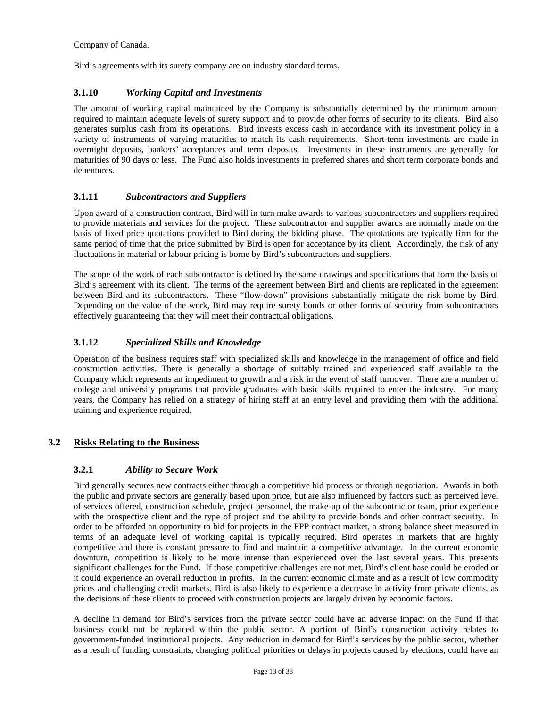Company of Canada.

Bird's agreements with its surety company are on industry standard terms.

### **3.1.10** *Working Capital and Investments*

The amount of working capital maintained by the Company is substantially determined by the minimum amount required to maintain adequate levels of surety support and to provide other forms of security to its clients. Bird also generates surplus cash from its operations. Bird invests excess cash in accordance with its investment policy in a variety of instruments of varying maturities to match its cash requirements. Short-term investments are made in overnight deposits, bankers' acceptances and term deposits. Investments in these instruments are generally for maturities of 90 days or less. The Fund also holds investments in preferred shares and short term corporate bonds and debentures.

# **3.1.11** *Subcontractors and Suppliers*

Upon award of a construction contract, Bird will in turn make awards to various subcontractors and suppliers required to provide materials and services for the project. These subcontractor and supplier awards are normally made on the basis of fixed price quotations provided to Bird during the bidding phase. The quotations are typically firm for the same period of time that the price submitted by Bird is open for acceptance by its client. Accordingly, the risk of any fluctuations in material or labour pricing is borne by Bird's subcontractors and suppliers.

The scope of the work of each subcontractor is defined by the same drawings and specifications that form the basis of Bird's agreement with its client. The terms of the agreement between Bird and clients are replicated in the agreement between Bird and its subcontractors. These "flow-down" provisions substantially mitigate the risk borne by Bird. Depending on the value of the work, Bird may require surety bonds or other forms of security from subcontractors effectively guaranteeing that they will meet their contractual obligations.

# **3.1.12** *Specialized Skills and Knowledge*

Operation of the business requires staff with specialized skills and knowledge in the management of office and field construction activities. There is generally a shortage of suitably trained and experienced staff available to the Company which represents an impediment to growth and a risk in the event of staff turnover. There are a number of college and university programs that provide graduates with basic skills required to enter the industry. For many years, the Company has relied on a strategy of hiring staff at an entry level and providing them with the additional training and experience required.

# **3.2 Risks Relating to the Business**

# **3.2.1** *Ability to Secure Work*

Bird generally secures new contracts either through a competitive bid process or through negotiation. Awards in both the public and private sectors are generally based upon price, but are also influenced by factors such as perceived level of services offered, construction schedule, project personnel, the make-up of the subcontractor team, prior experience with the prospective client and the type of project and the ability to provide bonds and other contract security. In order to be afforded an opportunity to bid for projects in the PPP contract market, a strong balance sheet measured in terms of an adequate level of working capital is typically required. Bird operates in markets that are highly competitive and there is constant pressure to find and maintain a competitive advantage. In the current economic downturn, competition is likely to be more intense than experienced over the last several years. This presents significant challenges for the Fund. If those competitive challenges are not met, Bird's client base could be eroded or it could experience an overall reduction in profits. In the current economic climate and as a result of low commodity prices and challenging credit markets, Bird is also likely to experience a decrease in activity from private clients, as the decisions of these clients to proceed with construction projects are largely driven by economic factors.

A decline in demand for Bird's services from the private sector could have an adverse impact on the Fund if that business could not be replaced within the public sector. A portion of Bird's construction activity relates to government-funded institutional projects. Any reduction in demand for Bird's services by the public sector, whether as a result of funding constraints, changing political priorities or delays in projects caused by elections, could have an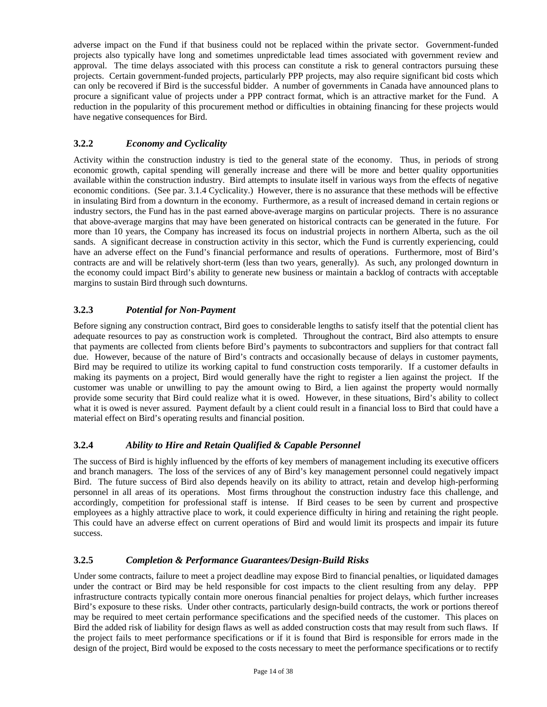adverse impact on the Fund if that business could not be replaced within the private sector. Government-funded projects also typically have long and sometimes unpredictable lead times associated with government review and approval. The time delays associated with this process can constitute a risk to general contractors pursuing these projects. Certain government-funded projects, particularly PPP projects, may also require significant bid costs which can only be recovered if Bird is the successful bidder. A number of governments in Canada have announced plans to procure a significant value of projects under a PPP contract format, which is an attractive market for the Fund. A reduction in the popularity of this procurement method or difficulties in obtaining financing for these projects would have negative consequences for Bird.

# **3.2.2** *Economy and Cyclicality*

Activity within the construction industry is tied to the general state of the economy. Thus, in periods of strong economic growth, capital spending will generally increase and there will be more and better quality opportunities available within the construction industry. Bird attempts to insulate itself in various ways from the effects of negative economic conditions. (See par. 3.1.4 Cyclicality.) However, there is no assurance that these methods will be effective in insulating Bird from a downturn in the economy. Furthermore, as a result of increased demand in certain regions or industry sectors, the Fund has in the past earned above-average margins on particular projects. There is no assurance that above-average margins that may have been generated on historical contracts can be generated in the future. For more than 10 years, the Company has increased its focus on industrial projects in northern Alberta, such as the oil sands. A significant decrease in construction activity in this sector, which the Fund is currently experiencing, could have an adverse effect on the Fund's financial performance and results of operations. Furthermore, most of Bird's contracts are and will be relatively short-term (less than two years, generally). As such, any prolonged downturn in the economy could impact Bird's ability to generate new business or maintain a backlog of contracts with acceptable margins to sustain Bird through such downturns.

# **3.2.3** *Potential for Non-Payment*

Before signing any construction contract, Bird goes to considerable lengths to satisfy itself that the potential client has adequate resources to pay as construction work is completed. Throughout the contract, Bird also attempts to ensure that payments are collected from clients before Bird's payments to subcontractors and suppliers for that contract fall due. However, because of the nature of Bird's contracts and occasionally because of delays in customer payments, Bird may be required to utilize its working capital to fund construction costs temporarily. If a customer defaults in making its payments on a project, Bird would generally have the right to register a lien against the project. If the customer was unable or unwilling to pay the amount owing to Bird, a lien against the property would normally provide some security that Bird could realize what it is owed. However, in these situations, Bird's ability to collect what it is owed is never assured. Payment default by a client could result in a financial loss to Bird that could have a material effect on Bird's operating results and financial position.

# **3.2.4** *Ability to Hire and Retain Qualified & Capable Personnel*

The success of Bird is highly influenced by the efforts of key members of management including its executive officers and branch managers. The loss of the services of any of Bird's key management personnel could negatively impact Bird. The future success of Bird also depends heavily on its ability to attract, retain and develop high-performing personnel in all areas of its operations. Most firms throughout the construction industry face this challenge, and accordingly, competition for professional staff is intense. If Bird ceases to be seen by current and prospective employees as a highly attractive place to work, it could experience difficulty in hiring and retaining the right people. This could have an adverse effect on current operations of Bird and would limit its prospects and impair its future success.

# **3.2.5** *Completion & Performance Guarantees/Design-Build Risks*

Under some contracts, failure to meet a project deadline may expose Bird to financial penalties, or liquidated damages under the contract or Bird may be held responsible for cost impacts to the client resulting from any delay. PPP infrastructure contracts typically contain more onerous financial penalties for project delays, which further increases Bird's exposure to these risks. Under other contracts, particularly design-build contracts, the work or portions thereof may be required to meet certain performance specifications and the specified needs of the customer. This places on Bird the added risk of liability for design flaws as well as added construction costs that may result from such flaws. If the project fails to meet performance specifications or if it is found that Bird is responsible for errors made in the design of the project, Bird would be exposed to the costs necessary to meet the performance specifications or to rectify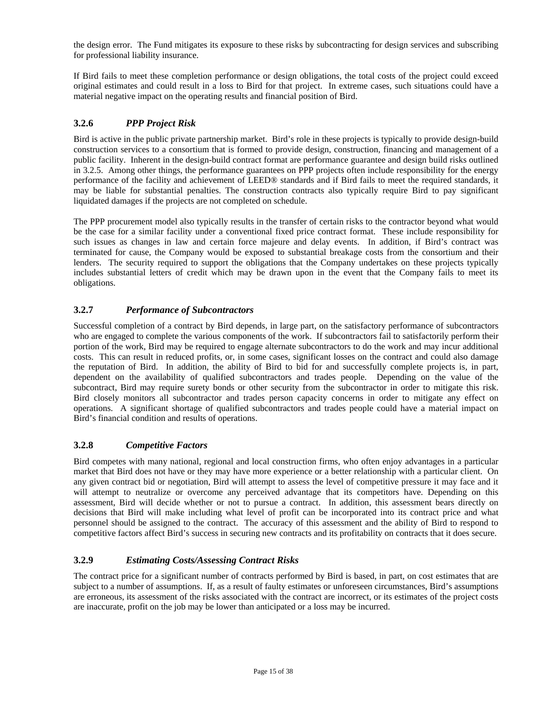the design error. The Fund mitigates its exposure to these risks by subcontracting for design services and subscribing for professional liability insurance.

If Bird fails to meet these completion performance or design obligations, the total costs of the project could exceed original estimates and could result in a loss to Bird for that project. In extreme cases, such situations could have a material negative impact on the operating results and financial position of Bird.

# **3.2.6** *PPP Project Risk*

Bird is active in the public private partnership market. Bird's role in these projects is typically to provide design-build construction services to a consortium that is formed to provide design, construction, financing and management of a public facility. Inherent in the design-build contract format are performance guarantee and design build risks outlined in 3.2.5. Among other things, the performance guarantees on PPP projects often include responsibility for the energy performance of the facility and achievement of LEED® standards and if Bird fails to meet the required standards, it may be liable for substantial penalties. The construction contracts also typically require Bird to pay significant liquidated damages if the projects are not completed on schedule.

The PPP procurement model also typically results in the transfer of certain risks to the contractor beyond what would be the case for a similar facility under a conventional fixed price contract format. These include responsibility for such issues as changes in law and certain force majeure and delay events. In addition, if Bird's contract was terminated for cause, the Company would be exposed to substantial breakage costs from the consortium and their lenders. The security required to support the obligations that the Company undertakes on these projects typically includes substantial letters of credit which may be drawn upon in the event that the Company fails to meet its obligations.

# **3.2.7** *Performance of Subcontractors*

Successful completion of a contract by Bird depends, in large part, on the satisfactory performance of subcontractors who are engaged to complete the various components of the work. If subcontractors fail to satisfactorily perform their portion of the work, Bird may be required to engage alternate subcontractors to do the work and may incur additional costs. This can result in reduced profits, or, in some cases, significant losses on the contract and could also damage the reputation of Bird. In addition, the ability of Bird to bid for and successfully complete projects is, in part, dependent on the availability of qualified subcontractors and trades people. Depending on the value of the subcontract, Bird may require surety bonds or other security from the subcontractor in order to mitigate this risk. Bird closely monitors all subcontractor and trades person capacity concerns in order to mitigate any effect on operations. A significant shortage of qualified subcontractors and trades people could have a material impact on Bird's financial condition and results of operations.

# **3.2.8** *Competitive Factors*

Bird competes with many national, regional and local construction firms, who often enjoy advantages in a particular market that Bird does not have or they may have more experience or a better relationship with a particular client. On any given contract bid or negotiation, Bird will attempt to assess the level of competitive pressure it may face and it will attempt to neutralize or overcome any perceived advantage that its competitors have. Depending on this assessment, Bird will decide whether or not to pursue a contract. In addition, this assessment bears directly on decisions that Bird will make including what level of profit can be incorporated into its contract price and what personnel should be assigned to the contract. The accuracy of this assessment and the ability of Bird to respond to competitive factors affect Bird's success in securing new contracts and its profitability on contracts that it does secure.

# **3.2.9** *Estimating Costs/Assessing Contract Risks*

The contract price for a significant number of contracts performed by Bird is based, in part, on cost estimates that are subject to a number of assumptions. If, as a result of faulty estimates or unforeseen circumstances, Bird's assumptions are erroneous, its assessment of the risks associated with the contract are incorrect, or its estimates of the project costs are inaccurate, profit on the job may be lower than anticipated or a loss may be incurred.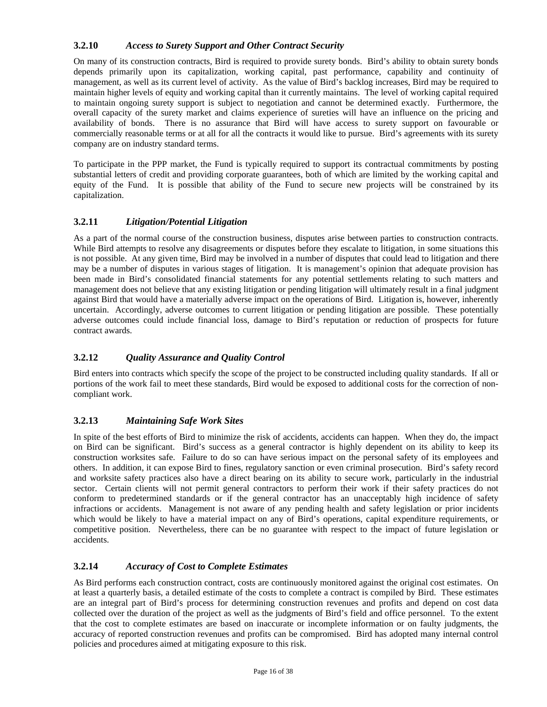# **3.2.10** *Access to Surety Support and Other Contract Security*

On many of its construction contracts, Bird is required to provide surety bonds. Bird's ability to obtain surety bonds depends primarily upon its capitalization, working capital, past performance, capability and continuity of management, as well as its current level of activity. As the value of Bird's backlog increases, Bird may be required to maintain higher levels of equity and working capital than it currently maintains. The level of working capital required to maintain ongoing surety support is subject to negotiation and cannot be determined exactly. Furthermore, the overall capacity of the surety market and claims experience of sureties will have an influence on the pricing and availability of bonds. There is no assurance that Bird will have access to surety support on favourable or commercially reasonable terms or at all for all the contracts it would like to pursue. Bird's agreements with its surety company are on industry standard terms.

To participate in the PPP market, the Fund is typically required to support its contractual commitments by posting substantial letters of credit and providing corporate guarantees, both of which are limited by the working capital and equity of the Fund. It is possible that ability of the Fund to secure new projects will be constrained by its capitalization.

# **3.2.11** *Litigation/Potential Litigation*

As a part of the normal course of the construction business, disputes arise between parties to construction contracts. While Bird attempts to resolve any disagreements or disputes before they escalate to litigation, in some situations this is not possible. At any given time, Bird may be involved in a number of disputes that could lead to litigation and there may be a number of disputes in various stages of litigation. It is management's opinion that adequate provision has been made in Bird's consolidated financial statements for any potential settlements relating to such matters and management does not believe that any existing litigation or pending litigation will ultimately result in a final judgment against Bird that would have a materially adverse impact on the operations of Bird. Litigation is, however, inherently uncertain. Accordingly, adverse outcomes to current litigation or pending litigation are possible. These potentially adverse outcomes could include financial loss, damage to Bird's reputation or reduction of prospects for future contract awards.

# **3.2.12** *Quality Assurance and Quality Control*

Bird enters into contracts which specify the scope of the project to be constructed including quality standards. If all or portions of the work fail to meet these standards, Bird would be exposed to additional costs for the correction of noncompliant work.

# **3.2.13** *Maintaining Safe Work Sites*

In spite of the best efforts of Bird to minimize the risk of accidents, accidents can happen. When they do, the impact on Bird can be significant. Bird's success as a general contractor is highly dependent on its ability to keep its construction worksites safe. Failure to do so can have serious impact on the personal safety of its employees and others. In addition, it can expose Bird to fines, regulatory sanction or even criminal prosecution. Bird's safety record and worksite safety practices also have a direct bearing on its ability to secure work, particularly in the industrial sector. Certain clients will not permit general contractors to perform their work if their safety practices do not conform to predetermined standards or if the general contractor has an unacceptably high incidence of safety infractions or accidents. Management is not aware of any pending health and safety legislation or prior incidents which would be likely to have a material impact on any of Bird's operations, capital expenditure requirements, or competitive position. Nevertheless, there can be no guarantee with respect to the impact of future legislation or accidents.

# **3.2.14** *Accuracy of Cost to Complete Estimates*

As Bird performs each construction contract, costs are continuously monitored against the original cost estimates. On at least a quarterly basis, a detailed estimate of the costs to complete a contract is compiled by Bird. These estimates are an integral part of Bird's process for determining construction revenues and profits and depend on cost data collected over the duration of the project as well as the judgments of Bird's field and office personnel. To the extent that the cost to complete estimates are based on inaccurate or incomplete information or on faulty judgments, the accuracy of reported construction revenues and profits can be compromised. Bird has adopted many internal control policies and procedures aimed at mitigating exposure to this risk.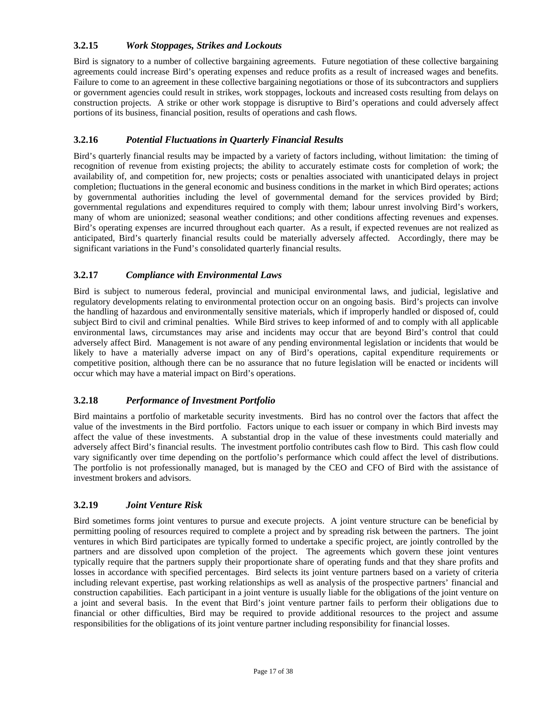# **3.2.15** *Work Stoppages, Strikes and Lockouts*

Bird is signatory to a number of collective bargaining agreements. Future negotiation of these collective bargaining agreements could increase Bird's operating expenses and reduce profits as a result of increased wages and benefits. Failure to come to an agreement in these collective bargaining negotiations or those of its subcontractors and suppliers or government agencies could result in strikes, work stoppages, lockouts and increased costs resulting from delays on construction projects. A strike or other work stoppage is disruptive to Bird's operations and could adversely affect portions of its business, financial position, results of operations and cash flows.

# **3.2.16** *Potential Fluctuations in Quarterly Financial Results*

Bird's quarterly financial results may be impacted by a variety of factors including, without limitation: the timing of recognition of revenue from existing projects; the ability to accurately estimate costs for completion of work; the availability of, and competition for, new projects; costs or penalties associated with unanticipated delays in project completion; fluctuations in the general economic and business conditions in the market in which Bird operates; actions by governmental authorities including the level of governmental demand for the services provided by Bird; governmental regulations and expenditures required to comply with them; labour unrest involving Bird's workers, many of whom are unionized; seasonal weather conditions; and other conditions affecting revenues and expenses. Bird's operating expenses are incurred throughout each quarter. As a result, if expected revenues are not realized as anticipated, Bird's quarterly financial results could be materially adversely affected. Accordingly, there may be significant variations in the Fund's consolidated quarterly financial results.

# **3.2.17** *Compliance with Environmental Laws*

Bird is subject to numerous federal, provincial and municipal environmental laws, and judicial, legislative and regulatory developments relating to environmental protection occur on an ongoing basis. Bird's projects can involve the handling of hazardous and environmentally sensitive materials, which if improperly handled or disposed of, could subject Bird to civil and criminal penalties. While Bird strives to keep informed of and to comply with all applicable environmental laws, circumstances may arise and incidents may occur that are beyond Bird's control that could adversely affect Bird. Management is not aware of any pending environmental legislation or incidents that would be likely to have a materially adverse impact on any of Bird's operations, capital expenditure requirements or competitive position, although there can be no assurance that no future legislation will be enacted or incidents will occur which may have a material impact on Bird's operations.

# **3.2.18** *Performance of Investment Portfolio*

Bird maintains a portfolio of marketable security investments. Bird has no control over the factors that affect the value of the investments in the Bird portfolio. Factors unique to each issuer or company in which Bird invests may affect the value of these investments. A substantial drop in the value of these investments could materially and adversely affect Bird's financial results. The investment portfolio contributes cash flow to Bird. This cash flow could vary significantly over time depending on the portfolio's performance which could affect the level of distributions. The portfolio is not professionally managed, but is managed by the CEO and CFO of Bird with the assistance of investment brokers and advisors.

# **3.2.19** *Joint Venture Risk*

Bird sometimes forms joint ventures to pursue and execute projects. A joint venture structure can be beneficial by permitting pooling of resources required to complete a project and by spreading risk between the partners. The joint ventures in which Bird participates are typically formed to undertake a specific project, are jointly controlled by the partners and are dissolved upon completion of the project. The agreements which govern these joint ventures typically require that the partners supply their proportionate share of operating funds and that they share profits and losses in accordance with specified percentages. Bird selects its joint venture partners based on a variety of criteria including relevant expertise, past working relationships as well as analysis of the prospective partners' financial and construction capabilities. Each participant in a joint venture is usually liable for the obligations of the joint venture on a joint and several basis. In the event that Bird's joint venture partner fails to perform their obligations due to financial or other difficulties, Bird may be required to provide additional resources to the project and assume responsibilities for the obligations of its joint venture partner including responsibility for financial losses.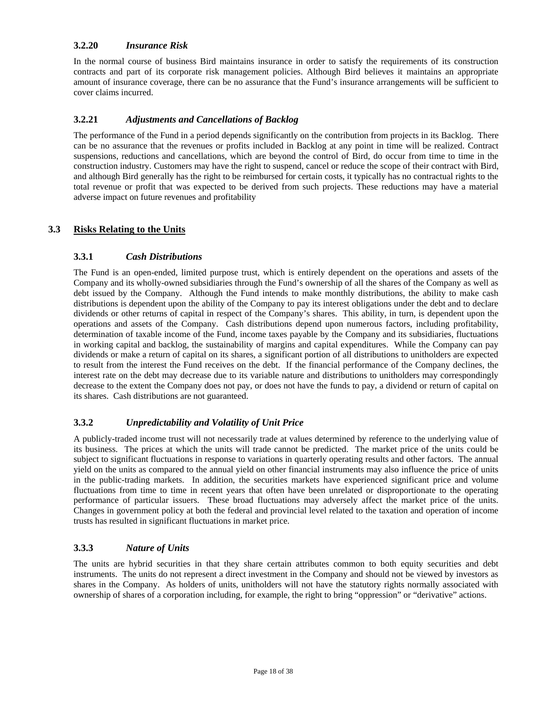### **3.2.20** *Insurance Risk*

In the normal course of business Bird maintains insurance in order to satisfy the requirements of its construction contracts and part of its corporate risk management policies. Although Bird believes it maintains an appropriate amount of insurance coverage, there can be no assurance that the Fund's insurance arrangements will be sufficient to cover claims incurred.

### **3.2.21** *Adjustments and Cancellations of Backlog*

The performance of the Fund in a period depends significantly on the contribution from projects in its Backlog. There can be no assurance that the revenues or profits included in Backlog at any point in time will be realized. Contract suspensions, reductions and cancellations, which are beyond the control of Bird, do occur from time to time in the construction industry. Customers may have the right to suspend, cancel or reduce the scope of their contract with Bird, and although Bird generally has the right to be reimbursed for certain costs, it typically has no contractual rights to the total revenue or profit that was expected to be derived from such projects. These reductions may have a material adverse impact on future revenues and profitability

# **3.3 Risks Relating to the Units**

### **3.3.1** *Cash Distributions*

The Fund is an open-ended, limited purpose trust, which is entirely dependent on the operations and assets of the Company and its wholly-owned subsidiaries through the Fund's ownership of all the shares of the Company as well as debt issued by the Company. Although the Fund intends to make monthly distributions, the ability to make cash distributions is dependent upon the ability of the Company to pay its interest obligations under the debt and to declare dividends or other returns of capital in respect of the Company's shares. This ability, in turn, is dependent upon the operations and assets of the Company. Cash distributions depend upon numerous factors, including profitability, determination of taxable income of the Fund, income taxes payable by the Company and its subsidiaries, fluctuations in working capital and backlog, the sustainability of margins and capital expenditures. While the Company can pay dividends or make a return of capital on its shares, a significant portion of all distributions to unitholders are expected to result from the interest the Fund receives on the debt. If the financial performance of the Company declines, the interest rate on the debt may decrease due to its variable nature and distributions to unitholders may correspondingly decrease to the extent the Company does not pay, or does not have the funds to pay, a dividend or return of capital on its shares. Cash distributions are not guaranteed.

# **3.3.2** *Unpredictability and Volatility of Unit Price*

A publicly-traded income trust will not necessarily trade at values determined by reference to the underlying value of its business. The prices at which the units will trade cannot be predicted. The market price of the units could be subject to significant fluctuations in response to variations in quarterly operating results and other factors. The annual yield on the units as compared to the annual yield on other financial instruments may also influence the price of units in the public-trading markets. In addition, the securities markets have experienced significant price and volume fluctuations from time to time in recent years that often have been unrelated or disproportionate to the operating performance of particular issuers. These broad fluctuations may adversely affect the market price of the units. Changes in government policy at both the federal and provincial level related to the taxation and operation of income trusts has resulted in significant fluctuations in market price.

# **3.3.3** *Nature of Units*

The units are hybrid securities in that they share certain attributes common to both equity securities and debt instruments. The units do not represent a direct investment in the Company and should not be viewed by investors as shares in the Company. As holders of units, unitholders will not have the statutory rights normally associated with ownership of shares of a corporation including, for example, the right to bring "oppression" or "derivative" actions.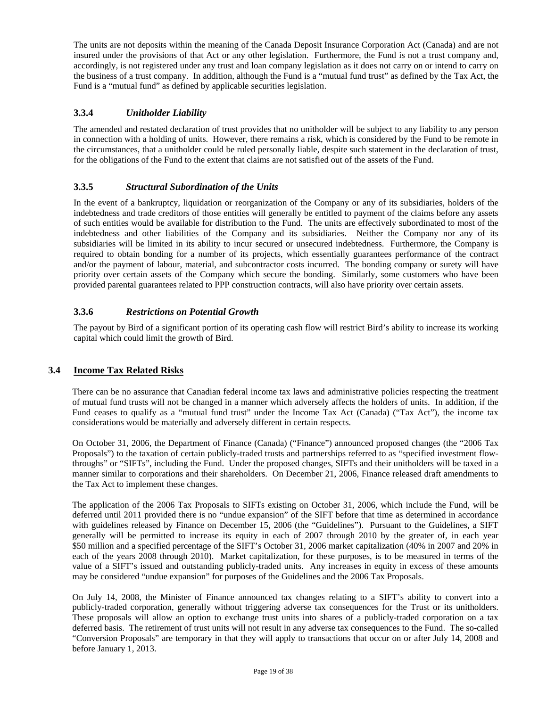The units are not deposits within the meaning of the Canada Deposit Insurance Corporation Act (Canada) and are not insured under the provisions of that Act or any other legislation. Furthermore, the Fund is not a trust company and, accordingly, is not registered under any trust and loan company legislation as it does not carry on or intend to carry on the business of a trust company. In addition, although the Fund is a "mutual fund trust" as defined by the Tax Act, the Fund is a "mutual fund" as defined by applicable securities legislation.

# **3.3.4** *Unitholder Liability*

The amended and restated declaration of trust provides that no unitholder will be subject to any liability to any person in connection with a holding of units. However, there remains a risk, which is considered by the Fund to be remote in the circumstances, that a unitholder could be ruled personally liable, despite such statement in the declaration of trust, for the obligations of the Fund to the extent that claims are not satisfied out of the assets of the Fund.

# **3.3.5** *Structural Subordination of the Units*

In the event of a bankruptcy, liquidation or reorganization of the Company or any of its subsidiaries, holders of the indebtedness and trade creditors of those entities will generally be entitled to payment of the claims before any assets of such entities would be available for distribution to the Fund. The units are effectively subordinated to most of the indebtedness and other liabilities of the Company and its subsidiaries. Neither the Company nor any of its subsidiaries will be limited in its ability to incur secured or unsecured indebtedness. Furthermore, the Company is required to obtain bonding for a number of its projects, which essentially guarantees performance of the contract and/or the payment of labour, material, and subcontractor costs incurred. The bonding company or surety will have priority over certain assets of the Company which secure the bonding. Similarly, some customers who have been provided parental guarantees related to PPP construction contracts, will also have priority over certain assets.

# **3.3.6** *Restrictions on Potential Growth*

The payout by Bird of a significant portion of its operating cash flow will restrict Bird's ability to increase its working capital which could limit the growth of Bird.

# **3.4 Income Tax Related Risks**

There can be no assurance that Canadian federal income tax laws and administrative policies respecting the treatment of mutual fund trusts will not be changed in a manner which adversely affects the holders of units. In addition, if the Fund ceases to qualify as a "mutual fund trust" under the Income Tax Act (Canada) ("Tax Act"), the income tax considerations would be materially and adversely different in certain respects.

On October 31, 2006, the Department of Finance (Canada) ("Finance") announced proposed changes (the "2006 Tax Proposals") to the taxation of certain publicly-traded trusts and partnerships referred to as "specified investment flowthroughs" or "SIFTs", including the Fund. Under the proposed changes, SIFTs and their unitholders will be taxed in a manner similar to corporations and their shareholders. On December 21, 2006, Finance released draft amendments to the Tax Act to implement these changes.

The application of the 2006 Tax Proposals to SIFTs existing on October 31, 2006, which include the Fund, will be deferred until 2011 provided there is no "undue expansion" of the SIFT before that time as determined in accordance with guidelines released by Finance on December 15, 2006 (the "Guidelines"). Pursuant to the Guidelines, a SIFT generally will be permitted to increase its equity in each of 2007 through 2010 by the greater of, in each year \$50 million and a specified percentage of the SIFT's October 31, 2006 market capitalization (40% in 2007 and 20% in each of the years 2008 through 2010). Market capitalization, for these purposes, is to be measured in terms of the value of a SIFT's issued and outstanding publicly-traded units. Any increases in equity in excess of these amounts may be considered "undue expansion" for purposes of the Guidelines and the 2006 Tax Proposals.

On July 14, 2008, the Minister of Finance announced tax changes relating to a SIFT's ability to convert into a publicly-traded corporation, generally without triggering adverse tax consequences for the Trust or its unitholders. These proposals will allow an option to exchange trust units into shares of a publicly-traded corporation on a tax deferred basis. The retirement of trust units will not result in any adverse tax consequences to the Fund. The so-called "Conversion Proposals" are temporary in that they will apply to transactions that occur on or after July 14, 2008 and before January 1, 2013.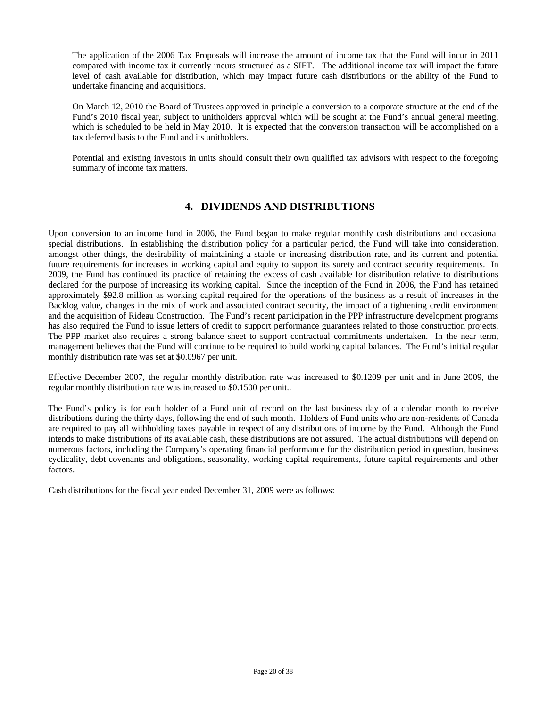The application of the 2006 Tax Proposals will increase the amount of income tax that the Fund will incur in 2011 compared with income tax it currently incurs structured as a SIFT. The additional income tax will impact the future level of cash available for distribution, which may impact future cash distributions or the ability of the Fund to undertake financing and acquisitions.

On March 12, 2010 the Board of Trustees approved in principle a conversion to a corporate structure at the end of the Fund's 2010 fiscal year, subject to unitholders approval which will be sought at the Fund's annual general meeting, which is scheduled to be held in May 2010. It is expected that the conversion transaction will be accomplished on a tax deferred basis to the Fund and its unitholders.

Potential and existing investors in units should consult their own qualified tax advisors with respect to the foregoing summary of income tax matters.

# **4. DIVIDENDS AND DISTRIBUTIONS**

Upon conversion to an income fund in 2006, the Fund began to make regular monthly cash distributions and occasional special distributions. In establishing the distribution policy for a particular period, the Fund will take into consideration, amongst other things, the desirability of maintaining a stable or increasing distribution rate, and its current and potential future requirements for increases in working capital and equity to support its surety and contract security requirements. In 2009, the Fund has continued its practice of retaining the excess of cash available for distribution relative to distributions declared for the purpose of increasing its working capital. Since the inception of the Fund in 2006, the Fund has retained approximately \$92.8 million as working capital required for the operations of the business as a result of increases in the Backlog value, changes in the mix of work and associated contract security, the impact of a tightening credit environment and the acquisition of Rideau Construction. The Fund's recent participation in the PPP infrastructure development programs has also required the Fund to issue letters of credit to support performance guarantees related to those construction projects. The PPP market also requires a strong balance sheet to support contractual commitments undertaken. In the near term, management believes that the Fund will continue to be required to build working capital balances. The Fund's initial regular monthly distribution rate was set at \$0.0967 per unit.

Effective December 2007, the regular monthly distribution rate was increased to \$0.1209 per unit and in June 2009, the regular monthly distribution rate was increased to \$0.1500 per unit..

The Fund's policy is for each holder of a Fund unit of record on the last business day of a calendar month to receive distributions during the thirty days, following the end of such month. Holders of Fund units who are non-residents of Canada are required to pay all withholding taxes payable in respect of any distributions of income by the Fund. Although the Fund intends to make distributions of its available cash, these distributions are not assured. The actual distributions will depend on numerous factors, including the Company's operating financial performance for the distribution period in question, business cyclicality, debt covenants and obligations, seasonality, working capital requirements, future capital requirements and other factors.

Cash distributions for the fiscal year ended December 31, 2009 were as follows: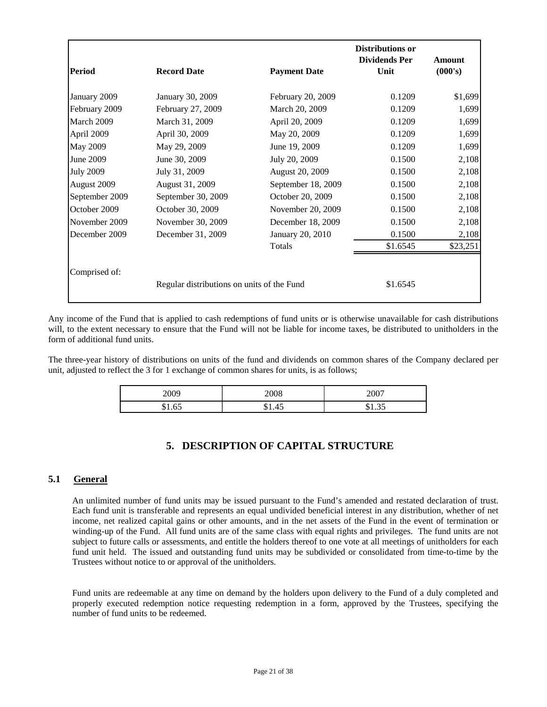| Period           | <b>Record Date</b>                         | <b>Payment Date</b> | <b>Distributions or</b><br><b>Dividends Per</b><br>Unit | Amount<br>(000's) |
|------------------|--------------------------------------------|---------------------|---------------------------------------------------------|-------------------|
| January 2009     | January 30, 2009                           | February 20, 2009   | 0.1209                                                  | \$1,699           |
| February 2009    | February 27, 2009                          | March 20, 2009      | 0.1209                                                  | 1,699             |
| March 2009       | March 31, 2009                             | April 20, 2009      | 0.1209                                                  | 1,699             |
| April 2009       | April 30, 2009                             | May 20, 2009        | 0.1209                                                  | 1,699             |
| <b>May 2009</b>  | May 29, 2009                               | June 19, 2009       | 0.1209                                                  | 1,699             |
| June 2009        | June 30, 2009                              | July 20, 2009       | 0.1500                                                  | 2,108             |
| <b>July 2009</b> | July 31, 2009                              | August 20, 2009     | 0.1500                                                  | 2,108             |
| August 2009      | August 31, 2009                            | September 18, 2009  | 0.1500                                                  | 2,108             |
| September 2009   | September 30, 2009                         | October 20, 2009    | 0.1500                                                  | 2,108             |
| October 2009     | October 30, 2009                           | November 20, 2009   | 0.1500                                                  | 2,108             |
| November 2009    | November 30, 2009                          | December 18, 2009   | 0.1500                                                  | 2,108             |
| December 2009    | December 31, 2009                          | January 20, 2010    | 0.1500                                                  | 2,108             |
|                  |                                            | Totals              | \$1.6545                                                | \$23,251          |
| Comprised of:    |                                            |                     |                                                         |                   |
|                  | Regular distributions on units of the Fund |                     | \$1.6545                                                |                   |

Any income of the Fund that is applied to cash redemptions of fund units or is otherwise unavailable for cash distributions will, to the extent necessary to ensure that the Fund will not be liable for income taxes, be distributed to unitholders in the form of additional fund units.

The three-year history of distributions on units of the fund and dividends on common shares of the Company declared per unit, adjusted to reflect the 3 for 1 exchange of common shares for units, is as follows;

| 2009 | 2008                                           | $\sim$ $\sim$ $\sim$<br>200 <sup>°</sup> |
|------|------------------------------------------------|------------------------------------------|
| 荚    | $\left\langle \cdot\right\rangle$<br>╜<br>1.TJ | J1.JJ                                    |

# **5. DESCRIPTION OF CAPITAL STRUCTURE**

### **5.1 General**

An unlimited number of fund units may be issued pursuant to the Fund's amended and restated declaration of trust. Each fund unit is transferable and represents an equal undivided beneficial interest in any distribution, whether of net income, net realized capital gains or other amounts, and in the net assets of the Fund in the event of termination or winding-up of the Fund. All fund units are of the same class with equal rights and privileges. The fund units are not subject to future calls or assessments, and entitle the holders thereof to one vote at all meetings of unitholders for each fund unit held. The issued and outstanding fund units may be subdivided or consolidated from time-to-time by the Trustees without notice to or approval of the unitholders.

Fund units are redeemable at any time on demand by the holders upon delivery to the Fund of a duly completed and properly executed redemption notice requesting redemption in a form, approved by the Trustees, specifying the number of fund units to be redeemed.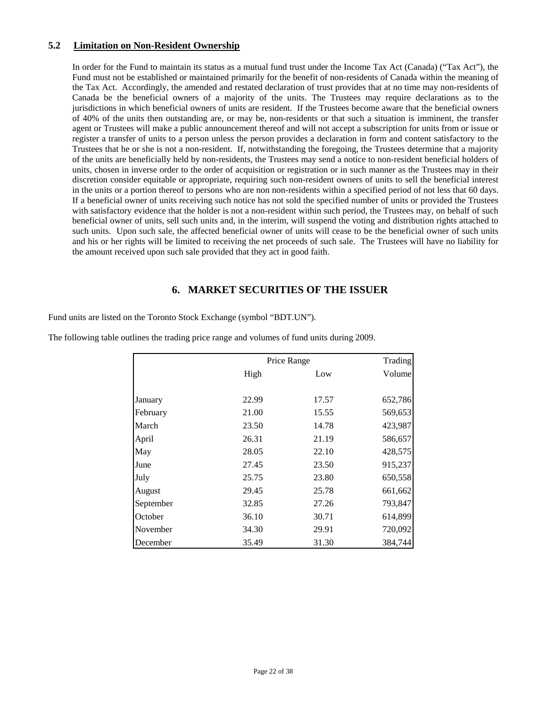### **5.2 Limitation on Non-Resident Ownership**

In order for the Fund to maintain its status as a mutual fund trust under the Income Tax Act (Canada) ("Tax Act"), the Fund must not be established or maintained primarily for the benefit of non-residents of Canada within the meaning of the Tax Act. Accordingly, the amended and restated declaration of trust provides that at no time may non-residents of Canada be the beneficial owners of a majority of the units. The Trustees may require declarations as to the jurisdictions in which beneficial owners of units are resident. If the Trustees become aware that the beneficial owners of 40% of the units then outstanding are, or may be, non-residents or that such a situation is imminent, the transfer agent or Trustees will make a public announcement thereof and will not accept a subscription for units from or issue or register a transfer of units to a person unless the person provides a declaration in form and content satisfactory to the Trustees that he or she is not a non-resident. If, notwithstanding the foregoing, the Trustees determine that a majority of the units are beneficially held by non-residents, the Trustees may send a notice to non-resident beneficial holders of units, chosen in inverse order to the order of acquisition or registration or in such manner as the Trustees may in their discretion consider equitable or appropriate, requiring such non-resident owners of units to sell the beneficial interest in the units or a portion thereof to persons who are non non-residents within a specified period of not less that 60 days. If a beneficial owner of units receiving such notice has not sold the specified number of units or provided the Trustees with satisfactory evidence that the holder is not a non-resident within such period, the Trustees may, on behalf of such beneficial owner of units, sell such units and, in the interim, will suspend the voting and distribution rights attached to such units. Upon such sale, the affected beneficial owner of units will cease to be the beneficial owner of such units and his or her rights will be limited to receiving the net proceeds of such sale. The Trustees will have no liability for the amount received upon such sale provided that they act in good faith.

# **6. MARKET SECURITIES OF THE ISSUER**

Fund units are listed on the Toronto Stock Exchange (symbol "BDT.UN").

|           |       | Price Range | Trading |
|-----------|-------|-------------|---------|
|           | High  | Low         | Volume  |
|           |       |             |         |
| January   | 22.99 | 17.57       | 652,786 |
| February  | 21.00 | 15.55       | 569,653 |
| March     | 23.50 | 14.78       | 423,987 |
| April     | 26.31 | 21.19       | 586,657 |
| May       | 28.05 | 22.10       | 428,575 |
| June      | 27.45 | 23.50       | 915,237 |
| July      | 25.75 | 23.80       | 650,558 |
| August    | 29.45 | 25.78       | 661,662 |
| September | 32.85 | 27.26       | 793,847 |
| October   | 36.10 | 30.71       | 614,899 |
| November  | 34.30 | 29.91       | 720,092 |
| December  | 35.49 | 31.30       | 384,744 |

The following table outlines the trading price range and volumes of fund units during 2009.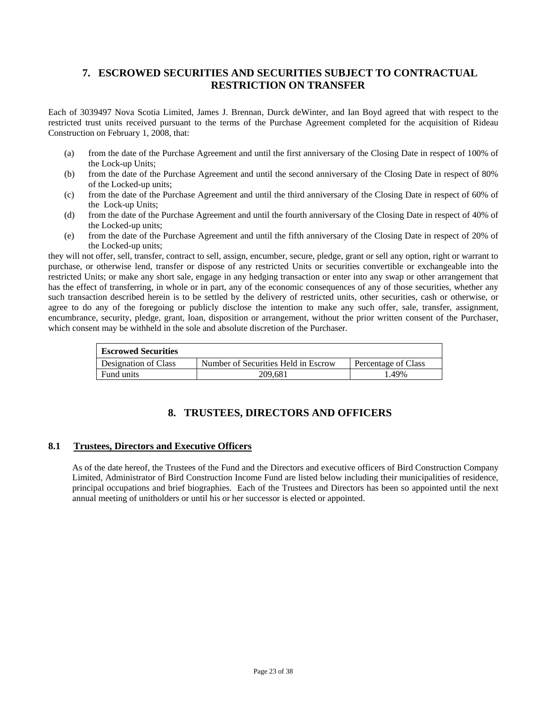# **7. ESCROWED SECURITIES AND SECURITIES SUBJECT TO CONTRACTUAL RESTRICTION ON TRANSFER**

Each of 3039497 Nova Scotia Limited, James J. Brennan, Durck deWinter, and Ian Boyd agreed that with respect to the restricted trust units received pursuant to the terms of the Purchase Agreement completed for the acquisition of Rideau Construction on February 1, 2008, that:

- (a) from the date of the Purchase Agreement and until the first anniversary of the Closing Date in respect of 100% of the Lock-up Units;
- (b) from the date of the Purchase Agreement and until the second anniversary of the Closing Date in respect of 80% of the Locked-up units;
- (c) from the date of the Purchase Agreement and until the third anniversary of the Closing Date in respect of 60% of the Lock-up Units;
- (d) from the date of the Purchase Agreement and until the fourth anniversary of the Closing Date in respect of 40% of the Locked-up units;
- (e) from the date of the Purchase Agreement and until the fifth anniversary of the Closing Date in respect of 20% of the Locked-up units;

they will not offer, sell, transfer, contract to sell, assign, encumber, secure, pledge, grant or sell any option, right or warrant to purchase, or otherwise lend, transfer or dispose of any restricted Units or securities convertible or exchangeable into the restricted Units; or make any short sale, engage in any hedging transaction or enter into any swap or other arrangement that has the effect of transferring, in whole or in part, any of the economic consequences of any of those securities, whether any such transaction described herein is to be settled by the delivery of restricted units, other securities, cash or otherwise, or agree to do any of the foregoing or publicly disclose the intention to make any such offer, sale, transfer, assignment, encumbrance, security, pledge, grant, loan, disposition or arrangement, without the prior written consent of the Purchaser, which consent may be withheld in the sole and absolute discretion of the Purchaser.

| <b>Escrowed Securities</b> |                                     |                            |  |  |
|----------------------------|-------------------------------------|----------------------------|--|--|
| Designation of Class       | Number of Securities Held in Escrow | <b>Percentage of Class</b> |  |  |
| Fund units                 | 209.681                             | 1.49%                      |  |  |

# **8. TRUSTEES, DIRECTORS AND OFFICERS**

### **8.1 Trustees, Directors and Executive Officers**

As of the date hereof, the Trustees of the Fund and the Directors and executive officers of Bird Construction Company Limited, Administrator of Bird Construction Income Fund are listed below including their municipalities of residence, principal occupations and brief biographies. Each of the Trustees and Directors has been so appointed until the next annual meeting of unitholders or until his or her successor is elected or appointed.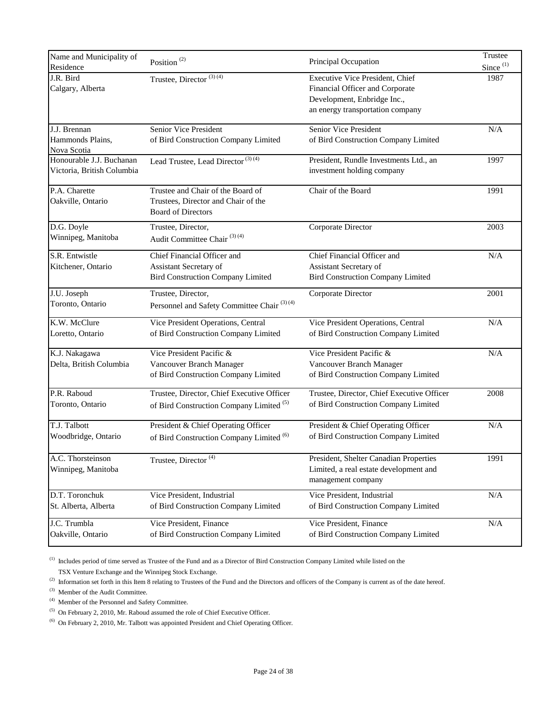| Name and Municipality of<br>Residence                  | Position <sup>(2)</sup>                                                                               | Principal Occupation                                                                                                                  | Trustee<br>$Since$ <sup>(1)</sup> |
|--------------------------------------------------------|-------------------------------------------------------------------------------------------------------|---------------------------------------------------------------------------------------------------------------------------------------|-----------------------------------|
| J.R. Bird<br>Calgary, Alberta                          | Trustee, Director <sup>(3)(4)</sup>                                                                   | Executive Vice President, Chief<br>Financial Officer and Corporate<br>Development, Enbridge Inc.,<br>an energy transportation company | 1987                              |
| J.J. Brennan<br>Hammonds Plains,<br>Nova Scotia        | Senior Vice President<br>of Bird Construction Company Limited                                         | Senior Vice President<br>of Bird Construction Company Limited                                                                         | N/A                               |
| Honourable J.J. Buchanan<br>Victoria, British Columbia | Lead Trustee, Lead Director <sup>(3)(4)</sup>                                                         | President, Rundle Investments Ltd., an<br>investment holding company                                                                  | 1997                              |
| P.A. Charette<br>Oakville, Ontario                     | Trustee and Chair of the Board of<br>Trustees, Director and Chair of the<br><b>Board of Directors</b> | Chair of the Board                                                                                                                    | 1991                              |
| D.G. Doyle<br>Winnipeg, Manitoba                       | Trustee, Director,<br>Audit Committee Chair <sup>(3)(4)</sup>                                         | Corporate Director                                                                                                                    | 2003                              |
| S.R. Entwistle<br>Kitchener, Ontario                   | Chief Financial Officer and<br>Assistant Secretary of<br><b>Bird Construction Company Limited</b>     | Chief Financial Officer and<br>Assistant Secretary of<br><b>Bird Construction Company Limited</b>                                     | N/A                               |
| J.U. Joseph<br>Toronto, Ontario                        | Trustee, Director,<br>Personnel and Safety Committee Chair <sup>(3)(4)</sup>                          | Corporate Director                                                                                                                    | 2001                              |
| K.W. McClure<br>Loretto, Ontario                       | Vice President Operations, Central<br>of Bird Construction Company Limited                            | Vice President Operations, Central<br>of Bird Construction Company Limited                                                            | N/A                               |
| K.J. Nakagawa<br>Delta, British Columbia               | Vice President Pacific &<br>Vancouver Branch Manager<br>of Bird Construction Company Limited          | Vice President Pacific &<br>Vancouver Branch Manager<br>of Bird Construction Company Limited                                          | N/A                               |
| P.R. Raboud<br>Toronto, Ontario                        | Trustee, Director, Chief Executive Officer<br>of Bird Construction Company Limited <sup>(5)</sup>     | Trustee, Director, Chief Executive Officer<br>of Bird Construction Company Limited                                                    | 2008                              |
| T.J. Talbott<br>Woodbridge, Ontario                    | President & Chief Operating Officer<br>of Bird Construction Company Limited <sup>(6)</sup>            | President & Chief Operating Officer<br>of Bird Construction Company Limited                                                           | N/A                               |
| A.C. Thorsteinson<br>Winnipeg, Manitoba                | Trustee, Director <sup>(4)</sup>                                                                      | President, Shelter Canadian Properties<br>Limited, a real estate development and<br>management company                                | 1991                              |
| D.T. Toronchuk<br>St. Alberta, Alberta                 | Vice President, Industrial<br>of Bird Construction Company Limited                                    | Vice President, Industrial<br>of Bird Construction Company Limited                                                                    | $\rm N/A$                         |
| J.C. Trumbla<br>Oakville, Ontario                      | Vice President, Finance<br>of Bird Construction Company Limited                                       | Vice President, Finance<br>of Bird Construction Company Limited                                                                       | N/A                               |

(1) Includes period of time served as Trustee of the Fund and as a Director of Bird Construction Company Limited while listed on the TSX Venture Exchange and the Winnipeg Stock Exchange.

<sup>(2)</sup> Information set forth in this Item 8 relating to Trustees of the Fund and the Directors and officers of the Company is current as of the date hereof.

(3) Member of the Audit Committee.

(4) Member of the Personnel and Safety Committee.

 $(5)$  On February 2, 2010, Mr. Raboud assumed the role of Chief Executive Officer.

 $^{(6)}$  On February 2, 2010, Mr. Talbott was appointed President and Chief Operating Officer.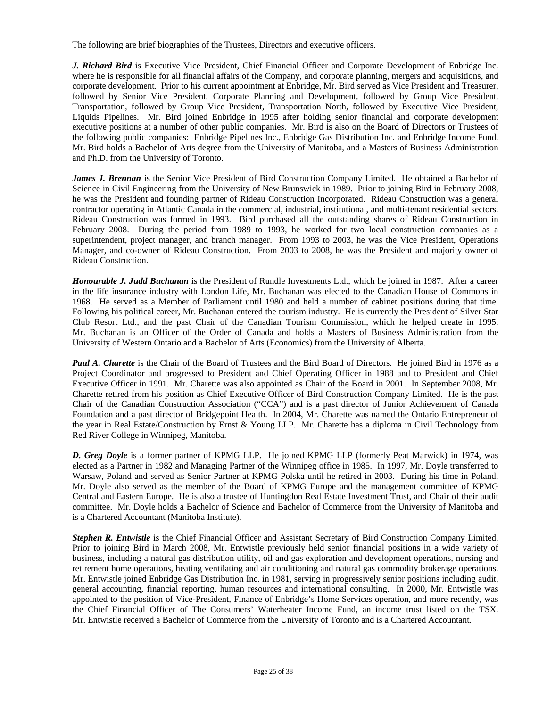The following are brief biographies of the Trustees, Directors and executive officers.

*J. Richard Bird* is Executive Vice President, Chief Financial Officer and Corporate Development of Enbridge Inc. where he is responsible for all financial affairs of the Company, and corporate planning, mergers and acquisitions, and corporate development. Prior to his current appointment at Enbridge, Mr. Bird served as Vice President and Treasurer, followed by Senior Vice President, Corporate Planning and Development, followed by Group Vice President, Transportation, followed by Group Vice President, Transportation North, followed by Executive Vice President, Liquids Pipelines. Mr. Bird joined Enbridge in 1995 after holding senior financial and corporate development executive positions at a number of other public companies. Mr. Bird is also on the Board of Directors or Trustees of the following public companies: Enbridge Pipelines Inc., Enbridge Gas Distribution Inc. and Enbridge Income Fund. Mr. Bird holds a Bachelor of Arts degree from the University of Manitoba, and a Masters of Business Administration and Ph.D. from the University of Toronto.

*James J. Brennan* is the Senior Vice President of Bird Construction Company Limited. He obtained a Bachelor of Science in Civil Engineering from the University of New Brunswick in 1989. Prior to joining Bird in February 2008, he was the President and founding partner of Rideau Construction Incorporated. Rideau Construction was a general contractor operating in Atlantic Canada in the commercial, industrial, institutional, and multi-tenant residential sectors. Rideau Construction was formed in 1993. Bird purchased all the outstanding shares of Rideau Construction in February 2008. During the period from 1989 to 1993, he worked for two local construction companies as a superintendent, project manager, and branch manager. From 1993 to 2003, he was the Vice President, Operations Manager, and co-owner of Rideau Construction. From 2003 to 2008, he was the President and majority owner of Rideau Construction.

*Honourable J. Judd Buchanan* is the President of Rundle Investments Ltd., which he joined in 1987. After a career in the life insurance industry with London Life, Mr. Buchanan was elected to the Canadian House of Commons in 1968. He served as a Member of Parliament until 1980 and held a number of cabinet positions during that time. Following his political career, Mr. Buchanan entered the tourism industry. He is currently the President of Silver Star Club Resort Ltd., and the past Chair of the Canadian Tourism Commission, which he helped create in 1995. Mr. Buchanan is an Officer of the Order of Canada and holds a Masters of Business Administration from the University of Western Ontario and a Bachelor of Arts (Economics) from the University of Alberta.

*Paul A. Charette* is the Chair of the Board of Trustees and the Bird Board of Directors. He joined Bird in 1976 as a Project Coordinator and progressed to President and Chief Operating Officer in 1988 and to President and Chief Executive Officer in 1991. Mr. Charette was also appointed as Chair of the Board in 2001. In September 2008, Mr. Charette retired from his position as Chief Executive Officer of Bird Construction Company Limited. He is the past Chair of the Canadian Construction Association ("CCA") and is a past director of Junior Achievement of Canada Foundation and a past director of Bridgepoint Health. In 2004, Mr. Charette was named the Ontario Entrepreneur of the year in Real Estate/Construction by Ernst & Young LLP. Mr. Charette has a diploma in Civil Technology from Red River College in Winnipeg, Manitoba.

*D. Greg Doyle* is a former partner of KPMG LLP. He joined KPMG LLP (formerly Peat Marwick) in 1974, was elected as a Partner in 1982 and Managing Partner of the Winnipeg office in 1985. In 1997, Mr. Doyle transferred to Warsaw, Poland and served as Senior Partner at KPMG Polska until he retired in 2003. During his time in Poland, Mr. Doyle also served as the member of the Board of KPMG Europe and the management committee of KPMG Central and Eastern Europe. He is also a trustee of Huntingdon Real Estate Investment Trust, and Chair of their audit committee. Mr. Doyle holds a Bachelor of Science and Bachelor of Commerce from the University of Manitoba and is a Chartered Accountant (Manitoba Institute).

*Stephen R. Entwistle* is the Chief Financial Officer and Assistant Secretary of Bird Construction Company Limited. Prior to joining Bird in March 2008, Mr. Entwistle previously held senior financial positions in a wide variety of business, including a natural gas distribution utility, oil and gas exploration and development operations, nursing and retirement home operations, heating ventilating and air conditioning and natural gas commodity brokerage operations. Mr. Entwistle joined Enbridge Gas Distribution Inc. in 1981, serving in progressively senior positions including audit, general accounting, financial reporting, human resources and international consulting. In 2000, Mr. Entwistle was appointed to the position of Vice-President, Finance of Enbridge's Home Services operation, and more recently, was the Chief Financial Officer of The Consumers' Waterheater Income Fund, an income trust listed on the TSX. Mr. Entwistle received a Bachelor of Commerce from the University of Toronto and is a Chartered Accountant.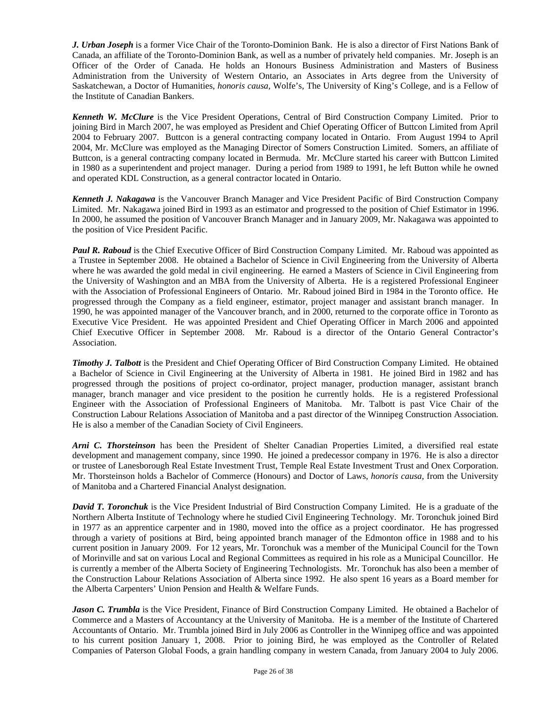*J. Urban Joseph* is a former Vice Chair of the Toronto-Dominion Bank. He is also a director of First Nations Bank of Canada, an affiliate of the Toronto-Dominion Bank, as well as a number of privately held companies. Mr. Joseph is an Officer of the Order of Canada. He holds an Honours Business Administration and Masters of Business Administration from the University of Western Ontario, an Associates in Arts degree from the University of Saskatchewan, a Doctor of Humanities, *honoris causa,* Wolfe's, The University of King's College, and is a Fellow of the Institute of Canadian Bankers.

*Kenneth W. McClure* is the Vice President Operations, Central of Bird Construction Company Limited. Prior to joining Bird in March 2007, he was employed as President and Chief Operating Officer of Buttcon Limited from April 2004 to February 2007. Buttcon is a general contracting company located in Ontario. From August 1994 to April 2004, Mr. McClure was employed as the Managing Director of Somers Construction Limited. Somers, an affiliate of Buttcon, is a general contracting company located in Bermuda. Mr. McClure started his career with Buttcon Limited in 1980 as a superintendent and project manager. During a period from 1989 to 1991, he left Button while he owned and operated KDL Construction, as a general contractor located in Ontario.

*Kenneth J. Nakagawa* is the Vancouver Branch Manager and Vice President Pacific of Bird Construction Company Limited. Mr. Nakagawa joined Bird in 1993 as an estimator and progressed to the position of Chief Estimator in 1996. In 2000, he assumed the position of Vancouver Branch Manager and in January 2009, Mr. Nakagawa was appointed to the position of Vice President Pacific.

*Paul R. Raboud* is the Chief Executive Officer of Bird Construction Company Limited. Mr. Raboud was appointed as a Trustee in September 2008. He obtained a Bachelor of Science in Civil Engineering from the University of Alberta where he was awarded the gold medal in civil engineering. He earned a Masters of Science in Civil Engineering from the University of Washington and an MBA from the University of Alberta. He is a registered Professional Engineer with the Association of Professional Engineers of Ontario. Mr. Raboud joined Bird in 1984 in the Toronto office. He progressed through the Company as a field engineer, estimator, project manager and assistant branch manager. In 1990, he was appointed manager of the Vancouver branch, and in 2000, returned to the corporate office in Toronto as Executive Vice President. He was appointed President and Chief Operating Officer in March 2006 and appointed Chief Executive Officer in September 2008. Mr. Raboud is a director of the Ontario General Contractor's Association.

*Timothy J. Talbott* is the President and Chief Operating Officer of Bird Construction Company Limited. He obtained a Bachelor of Science in Civil Engineering at the University of Alberta in 1981. He joined Bird in 1982 and has progressed through the positions of project co-ordinator, project manager, production manager, assistant branch manager, branch manager and vice president to the position he currently holds. He is a registered Professional Engineer with the Association of Professional Engineers of Manitoba. Mr. Talbott is past Vice Chair of the Construction Labour Relations Association of Manitoba and a past director of the Winnipeg Construction Association. He is also a member of the Canadian Society of Civil Engineers.

*Arni C. Thorsteinson* has been the President of Shelter Canadian Properties Limited, a diversified real estate development and management company, since 1990. He joined a predecessor company in 1976. He is also a director or trustee of Lanesborough Real Estate Investment Trust, Temple Real Estate Investment Trust and Onex Corporation. Mr. Thorsteinson holds a Bachelor of Commerce (Honours) and Doctor of Laws, *honoris causa,* from the University of Manitoba and a Chartered Financial Analyst designation.

*David T. Toronchuk* is the Vice President Industrial of Bird Construction Company Limited. He is a graduate of the Northern Alberta Institute of Technology where he studied Civil Engineering Technology. Mr. Toronchuk joined Bird in 1977 as an apprentice carpenter and in 1980, moved into the office as a project coordinator. He has progressed through a variety of positions at Bird, being appointed branch manager of the Edmonton office in 1988 and to his current position in January 2009. For 12 years, Mr. Toronchuk was a member of the Municipal Council for the Town of Morinville and sat on various Local and Regional Committees as required in his role as a Municipal Councillor. He is currently a member of the Alberta Society of Engineering Technologists. Mr. Toronchuk has also been a member of the Construction Labour Relations Association of Alberta since 1992. He also spent 16 years as a Board member for the Alberta Carpenters' Union Pension and Health & Welfare Funds.

*Jason C. Trumbla* is the Vice President, Finance of Bird Construction Company Limited. He obtained a Bachelor of Commerce and a Masters of Accountancy at the University of Manitoba. He is a member of the Institute of Chartered Accountants of Ontario. Mr. Trumbla joined Bird in July 2006 as Controller in the Winnipeg office and was appointed to his current position January 1, 2008. Prior to joining Bird, he was employed as the Controller of Related Companies of Paterson Global Foods, a grain handling company in western Canada, from January 2004 to July 2006.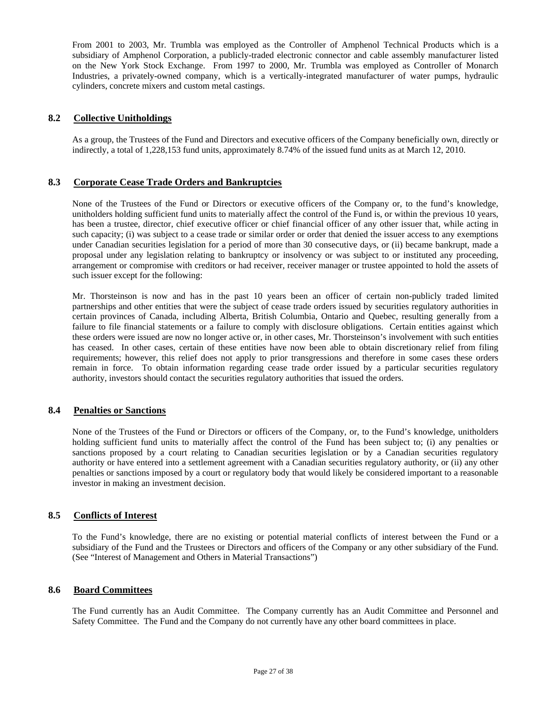From 2001 to 2003, Mr. Trumbla was employed as the Controller of Amphenol Technical Products which is a subsidiary of Amphenol Corporation, a publicly-traded electronic connector and cable assembly manufacturer listed on the New York Stock Exchange. From 1997 to 2000, Mr. Trumbla was employed as Controller of Monarch Industries, a privately-owned company, which is a vertically-integrated manufacturer of water pumps, hydraulic cylinders, concrete mixers and custom metal castings.

### **8.2 Collective Unitholdings**

As a group, the Trustees of the Fund and Directors and executive officers of the Company beneficially own, directly or indirectly, a total of 1,228,153 fund units, approximately 8.74% of the issued fund units as at March 12, 2010.

### **8.3 Corporate Cease Trade Orders and Bankruptcies**

None of the Trustees of the Fund or Directors or executive officers of the Company or, to the fund's knowledge, unitholders holding sufficient fund units to materially affect the control of the Fund is, or within the previous 10 years, has been a trustee, director, chief executive officer or chief financial officer of any other issuer that, while acting in such capacity; (i) was subject to a cease trade or similar order or order that denied the issuer access to any exemptions under Canadian securities legislation for a period of more than 30 consecutive days, or (ii) became bankrupt, made a proposal under any legislation relating to bankruptcy or insolvency or was subject to or instituted any proceeding, arrangement or compromise with creditors or had receiver, receiver manager or trustee appointed to hold the assets of such issuer except for the following:

Mr. Thorsteinson is now and has in the past 10 years been an officer of certain non-publicly traded limited partnerships and other entities that were the subject of cease trade orders issued by securities regulatory authorities in certain provinces of Canada, including Alberta, British Columbia, Ontario and Quebec, resulting generally from a failure to file financial statements or a failure to comply with disclosure obligations. Certain entities against which these orders were issued are now no longer active or, in other cases, Mr. Thorsteinson's involvement with such entities has ceased. In other cases, certain of these entities have now been able to obtain discretionary relief from filing requirements; however, this relief does not apply to prior transgressions and therefore in some cases these orders remain in force. To obtain information regarding cease trade order issued by a particular securities regulatory authority, investors should contact the securities regulatory authorities that issued the orders.

### **8.4 Penalties or Sanctions**

None of the Trustees of the Fund or Directors or officers of the Company, or, to the Fund's knowledge, unitholders holding sufficient fund units to materially affect the control of the Fund has been subject to; (i) any penalties or sanctions proposed by a court relating to Canadian securities legislation or by a Canadian securities regulatory authority or have entered into a settlement agreement with a Canadian securities regulatory authority, or (ii) any other penalties or sanctions imposed by a court or regulatory body that would likely be considered important to a reasonable investor in making an investment decision.

### **8.5 Conflicts of Interest**

To the Fund's knowledge, there are no existing or potential material conflicts of interest between the Fund or a subsidiary of the Fund and the Trustees or Directors and officers of the Company or any other subsidiary of the Fund. (See "Interest of Management and Others in Material Transactions")

### **8.6 Board Committees**

The Fund currently has an Audit Committee. The Company currently has an Audit Committee and Personnel and Safety Committee. The Fund and the Company do not currently have any other board committees in place.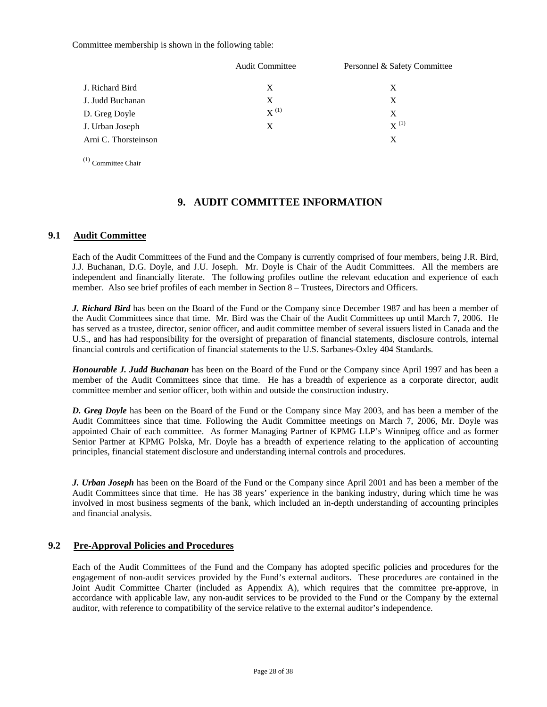Committee membership is shown in the following table:

|                      | <b>Audit Committee</b> | Personnel & Safety Committee |
|----------------------|------------------------|------------------------------|
| J. Richard Bird      | X                      | X                            |
| J. Judd Buchanan     | X.                     | X                            |
| D. Greg Doyle        | $X^{(1)}$              | X                            |
| J. Urban Joseph      | X                      | $X^{(1)}$                    |
| Arni C. Thorsteinson |                        | X                            |
|                      |                        |                              |

(1) Committee Chair

# **9. AUDIT COMMITTEE INFORMATION**

### **9.1 Audit Committee**

Each of the Audit Committees of the Fund and the Company is currently comprised of four members, being J.R. Bird, J.J. Buchanan, D.G. Doyle, and J.U. Joseph. Mr. Doyle is Chair of the Audit Committees. All the members are independent and financially literate. The following profiles outline the relevant education and experience of each member. Also see brief profiles of each member in Section 8 – Trustees, Directors and Officers.

*J. Richard Bird* has been on the Board of the Fund or the Company since December 1987 and has been a member of the Audit Committees since that time. Mr. Bird was the Chair of the Audit Committees up until March 7, 2006. He has served as a trustee, director, senior officer, and audit committee member of several issuers listed in Canada and the U.S., and has had responsibility for the oversight of preparation of financial statements, disclosure controls, internal financial controls and certification of financial statements to the U.S. Sarbanes-Oxley 404 Standards.

*Honourable J. Judd Buchanan* has been on the Board of the Fund or the Company since April 1997 and has been a member of the Audit Committees since that time. He has a breadth of experience as a corporate director, audit committee member and senior officer, both within and outside the construction industry.

*D. Greg Doyle* has been on the Board of the Fund or the Company since May 2003, and has been a member of the Audit Committees since that time. Following the Audit Committee meetings on March 7, 2006, Mr. Doyle was appointed Chair of each committee. As former Managing Partner of KPMG LLP's Winnipeg office and as former Senior Partner at KPMG Polska, Mr. Doyle has a breadth of experience relating to the application of accounting principles, financial statement disclosure and understanding internal controls and procedures.

*J. Urban Joseph* has been on the Board of the Fund or the Company since April 2001 and has been a member of the Audit Committees since that time. He has 38 years' experience in the banking industry, during which time he was involved in most business segments of the bank, which included an in-depth understanding of accounting principles and financial analysis.

### **9.2 Pre-Approval Policies and Procedures**

Each of the Audit Committees of the Fund and the Company has adopted specific policies and procedures for the engagement of non-audit services provided by the Fund's external auditors. These procedures are contained in the Joint Audit Committee Charter (included as Appendix A), which requires that the committee pre-approve, in accordance with applicable law, any non-audit services to be provided to the Fund or the Company by the external auditor, with reference to compatibility of the service relative to the external auditor's independence.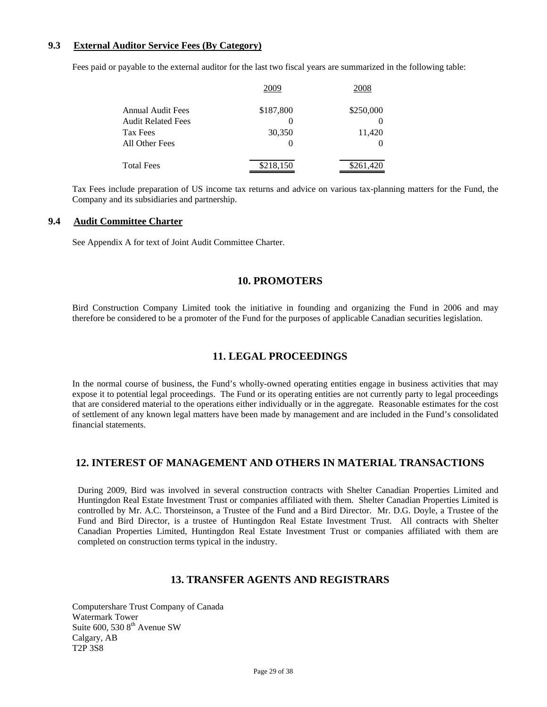### **9.3 External Auditor Service Fees (By Category)**

Fees paid or payable to the external auditor for the last two fiscal years are summarized in the following table:

|                    | 2009      | 2008      |
|--------------------|-----------|-----------|
| Annual Audit Fees  | \$187,800 | \$250,000 |
| Audit Related Fees |           |           |
| Tax Fees           | 30,350    | 11,420    |
| All Other Fees     | $\theta$  |           |
| Total Fees         | \$218,150 | \$261,420 |

Tax Fees include preparation of US income tax returns and advice on various tax-planning matters for the Fund, the Company and its subsidiaries and partnership.

### **9.4 Audit Committee Charter**

See Appendix A for text of Joint Audit Committee Charter.

# **10. PROMOTERS**

Bird Construction Company Limited took the initiative in founding and organizing the Fund in 2006 and may therefore be considered to be a promoter of the Fund for the purposes of applicable Canadian securities legislation.

# **11. LEGAL PROCEEDINGS**

In the normal course of business, the Fund's wholly-owned operating entities engage in business activities that may expose it to potential legal proceedings. The Fund or its operating entities are not currently party to legal proceedings that are considered material to the operations either individually or in the aggregate. Reasonable estimates for the cost of settlement of any known legal matters have been made by management and are included in the Fund's consolidated financial statements.

# **12. INTEREST OF MANAGEMENT AND OTHERS IN MATERIAL TRANSACTIONS**

During 2009, Bird was involved in several construction contracts with Shelter Canadian Properties Limited and Huntingdon Real Estate Investment Trust or companies affiliated with them. Shelter Canadian Properties Limited is controlled by Mr. A.C. Thorsteinson, a Trustee of the Fund and a Bird Director. Mr. D.G. Doyle, a Trustee of the Fund and Bird Director, is a trustee of Huntingdon Real Estate Investment Trust. All contracts with Shelter Canadian Properties Limited, Huntingdon Real Estate Investment Trust or companies affiliated with them are completed on construction terms typical in the industry.

# **13. TRANSFER AGENTS AND REGISTRARS**

Computershare Trust Company of Canada Watermark Tower Suite 600, 530 8<sup>th</sup> Avenue SW Calgary, AB T2P 3S8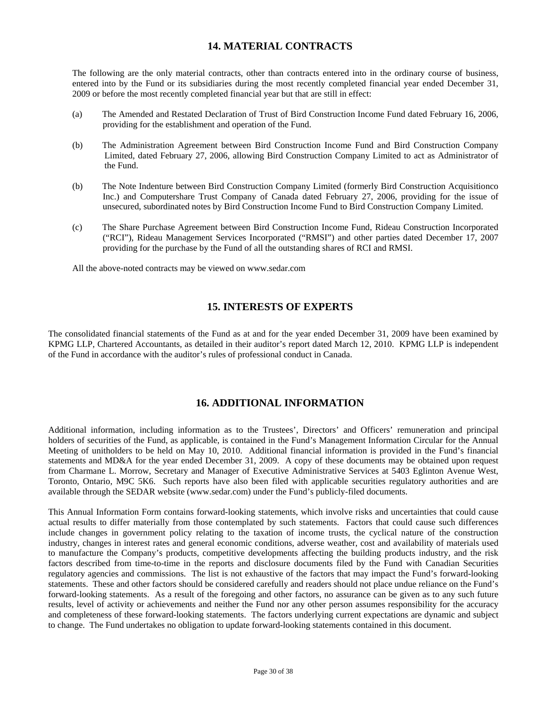# **14. MATERIAL CONTRACTS**

The following are the only material contracts, other than contracts entered into in the ordinary course of business, entered into by the Fund or its subsidiaries during the most recently completed financial year ended December 31, 2009 or before the most recently completed financial year but that are still in effect:

- (a) The Amended and Restated Declaration of Trust of Bird Construction Income Fund dated February 16, 2006, providing for the establishment and operation of the Fund.
- (b) The Administration Agreement between Bird Construction Income Fund and Bird Construction Company Limited, dated February 27, 2006, allowing Bird Construction Company Limited to act as Administrator of the Fund.
- (b) The Note Indenture between Bird Construction Company Limited (formerly Bird Construction Acquisitionco Inc.) and Computershare Trust Company of Canada dated February 27, 2006, providing for the issue of unsecured, subordinated notes by Bird Construction Income Fund to Bird Construction Company Limited.
- (c) The Share Purchase Agreement between Bird Construction Income Fund, Rideau Construction Incorporated ("RCI"), Rideau Management Services Incorporated ("RMSI") and other parties dated December 17, 2007 providing for the purchase by the Fund of all the outstanding shares of RCI and RMSI.

All the above-noted contracts may be viewed on www.sedar.com

# **15. INTERESTS OF EXPERTS**

The consolidated financial statements of the Fund as at and for the year ended December 31, 2009 have been examined by KPMG LLP, Chartered Accountants, as detailed in their auditor's report dated March 12, 2010. KPMG LLP is independent of the Fund in accordance with the auditor's rules of professional conduct in Canada.

# **16. ADDITIONAL INFORMATION**

Additional information, including information as to the Trustees', Directors' and Officers' remuneration and principal holders of securities of the Fund, as applicable, is contained in the Fund's Management Information Circular for the Annual Meeting of unitholders to be held on May 10, 2010. Additional financial information is provided in the Fund's financial statements and MD&A for the year ended December 31, 2009. A copy of these documents may be obtained upon request from Charmane L. Morrow, Secretary and Manager of Executive Administrative Services at 5403 Eglinton Avenue West, Toronto, Ontario, M9C 5K6. Such reports have also been filed with applicable securities regulatory authorities and are available through the SEDAR website (www.sedar.com) under the Fund's publicly-filed documents.

This Annual Information Form contains forward-looking statements, which involve risks and uncertainties that could cause actual results to differ materially from those contemplated by such statements. Factors that could cause such differences include changes in government policy relating to the taxation of income trusts, the cyclical nature of the construction industry, changes in interest rates and general economic conditions, adverse weather, cost and availability of materials used to manufacture the Company's products, competitive developments affecting the building products industry, and the risk factors described from time-to-time in the reports and disclosure documents filed by the Fund with Canadian Securities regulatory agencies and commissions. The list is not exhaustive of the factors that may impact the Fund's forward-looking statements. These and other factors should be considered carefully and readers should not place undue reliance on the Fund's forward-looking statements. As a result of the foregoing and other factors, no assurance can be given as to any such future results, level of activity or achievements and neither the Fund nor any other person assumes responsibility for the accuracy and completeness of these forward-looking statements. The factors underlying current expectations are dynamic and subject to change. The Fund undertakes no obligation to update forward-looking statements contained in this document.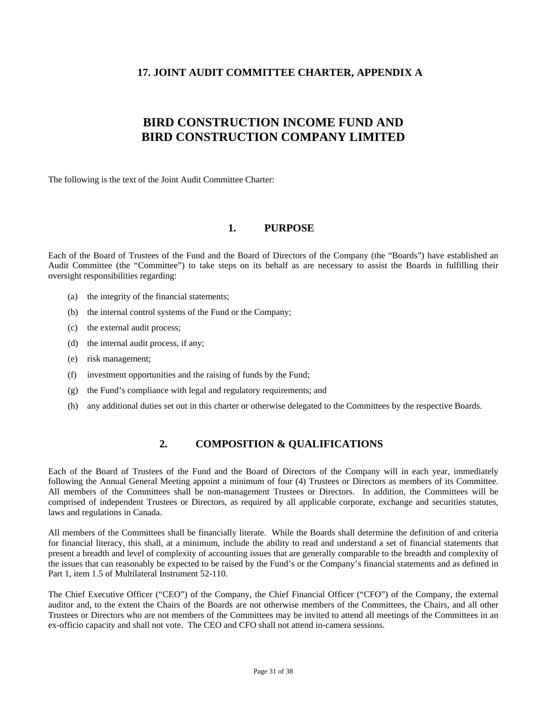# **17. JOINT AUDIT COMMITTEE CHARTER, APPENDIX A**

# **BIRD CONSTRUCTION INCOME FUND AND BIRD CONSTRUCTION COMPANY LIMITED**

The following is the text of the Joint Audit Committee Charter:

# **1. PURPOSE**

Each of the Board of Trustees of the Fund and the Board of Directors of the Company (the "Boards") have established an Audit Committee (the "Committee") to take steps on its behalf as are necessary to assist the Boards in fulfilling their oversight responsibilities regarding:

- (a) the integrity of the financial statements;
- (b) the internal control systems of the Fund or the Company;
- (c) the external audit process;
- (d) the internal audit process, if any;
- (e) risk management;
- (f) investment opportunities and the raising of funds by the Fund;
- (g) the Fund's compliance with legal and regulatory requirements; and
- (h) any additional duties set out in this charter or otherwise delegated to the Committees by the respective Boards.

# **2. COMPOSITION & QUALIFICATIONS**

Each of the Board of Trustees of the Fund and the Board of Directors of the Company will in each year, immediately following the Annual General Meeting appoint a minimum of four (4) Trustees or Directors as members of its Committee. All members of the Committees shall be non-management Trustees or Directors. In addition, the Committees will be comprised of independent Trustees or Directors, as required by all applicable corporate, exchange and securities statutes, laws and regulations in Canada.

All members of the Committees shall be financially literate. While the Boards shall determine the definition of and criteria for financial literacy, this shall, at a minimum, include the ability to read and understand a set of financial statements that present a breadth and level of complexity of accounting issues that are generally comparable to the breadth and complexity of the issues that can reasonably be expected to be raised by the Fund's or the Company's financial statements and as defined in Part 1, item 1.5 of Multilateral Instrument 52-110.

The Chief Executive Officer ("CEO") of the Company, the Chief Financial Officer ("CFO") of the Company, the external auditor and, to the extent the Chairs of the Boards are not otherwise members of the Committees, the Chairs, and all other Trustees or Directors who are not members of the Committees may be invited to attend all meetings of the Committees in an ex-officio capacity and shall not vote. The CEO and CFO shall not attend in-camera sessions.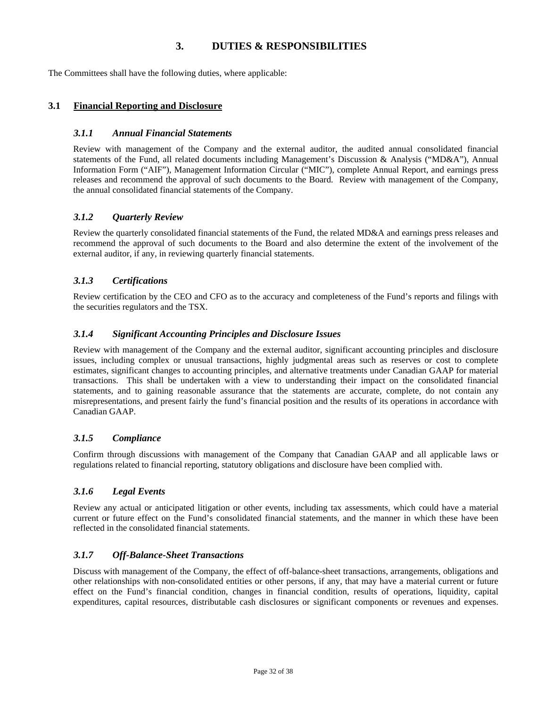# **3. DUTIES & RESPONSIBILITIES**

The Committees shall have the following duties, where applicable:

### **3.1 Financial Reporting and Disclosure**

### *3.1.1 Annual Financial Statements*

Review with management of the Company and the external auditor, the audited annual consolidated financial statements of the Fund, all related documents including Management's Discussion & Analysis ("MD&A"), Annual Information Form ("AIF"), Management Information Circular ("MIC"), complete Annual Report, and earnings press releases and recommend the approval of such documents to the Board. Review with management of the Company, the annual consolidated financial statements of the Company.

### *3.1.2 Quarterly Review*

Review the quarterly consolidated financial statements of the Fund, the related MD&A and earnings press releases and recommend the approval of such documents to the Board and also determine the extent of the involvement of the external auditor, if any, in reviewing quarterly financial statements.

### *3.1.3 Certifications*

Review certification by the CEO and CFO as to the accuracy and completeness of the Fund's reports and filings with the securities regulators and the TSX.

### *3.1.4 Significant Accounting Principles and Disclosure Issues*

Review with management of the Company and the external auditor, significant accounting principles and disclosure issues, including complex or unusual transactions, highly judgmental areas such as reserves or cost to complete estimates, significant changes to accounting principles, and alternative treatments under Canadian GAAP for material transactions. This shall be undertaken with a view to understanding their impact on the consolidated financial statements, and to gaining reasonable assurance that the statements are accurate, complete, do not contain any misrepresentations, and present fairly the fund's financial position and the results of its operations in accordance with Canadian GAAP.

### *3.1.5 Compliance*

Confirm through discussions with management of the Company that Canadian GAAP and all applicable laws or regulations related to financial reporting, statutory obligations and disclosure have been complied with.

# *3.1.6 Legal Events*

Review any actual or anticipated litigation or other events, including tax assessments, which could have a material current or future effect on the Fund's consolidated financial statements, and the manner in which these have been reflected in the consolidated financial statements.

# *3.1.7 Off-Balance-Sheet Transactions*

Discuss with management of the Company, the effect of off-balance-sheet transactions, arrangements, obligations and other relationships with non-consolidated entities or other persons, if any, that may have a material current or future effect on the Fund's financial condition, changes in financial condition, results of operations, liquidity, capital expenditures, capital resources, distributable cash disclosures or significant components or revenues and expenses.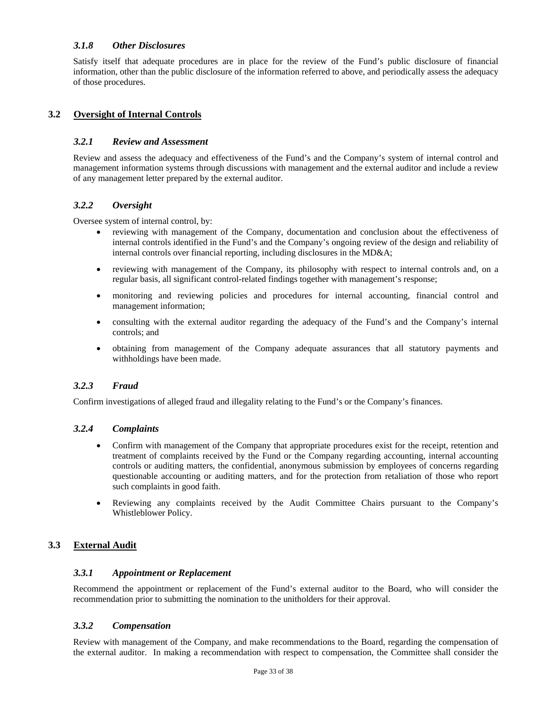### *3.1.8 Other Disclosures*

Satisfy itself that adequate procedures are in place for the review of the Fund's public disclosure of financial information, other than the public disclosure of the information referred to above, and periodically assess the adequacy of those procedures.

# **3.2 Oversight of Internal Controls**

### *3.2.1 Review and Assessment*

Review and assess the adequacy and effectiveness of the Fund's and the Company's system of internal control and management information systems through discussions with management and the external auditor and include a review of any management letter prepared by the external auditor.

# *3.2.2 Oversight*

Oversee system of internal control, by:

- reviewing with management of the Company, documentation and conclusion about the effectiveness of internal controls identified in the Fund's and the Company's ongoing review of the design and reliability of internal controls over financial reporting, including disclosures in the MD&A;
- reviewing with management of the Company, its philosophy with respect to internal controls and, on a regular basis, all significant control-related findings together with management's response;
- monitoring and reviewing policies and procedures for internal accounting, financial control and management information;
- consulting with the external auditor regarding the adequacy of the Fund's and the Company's internal controls; and
- obtaining from management of the Company adequate assurances that all statutory payments and withholdings have been made.

# *3.2.3 Fraud*

Confirm investigations of alleged fraud and illegality relating to the Fund's or the Company's finances.

### *3.2.4 Complaints*

- Confirm with management of the Company that appropriate procedures exist for the receipt, retention and treatment of complaints received by the Fund or the Company regarding accounting, internal accounting controls or auditing matters, the confidential, anonymous submission by employees of concerns regarding questionable accounting or auditing matters, and for the protection from retaliation of those who report such complaints in good faith.
- Reviewing any complaints received by the Audit Committee Chairs pursuant to the Company's Whistleblower Policy.

# **3.3 External Audit**

### *3.3.1 Appointment or Replacement*

Recommend the appointment or replacement of the Fund's external auditor to the Board, who will consider the recommendation prior to submitting the nomination to the unitholders for their approval.

# *3.3.2 Compensation*

Review with management of the Company, and make recommendations to the Board, regarding the compensation of the external auditor. In making a recommendation with respect to compensation, the Committee shall consider the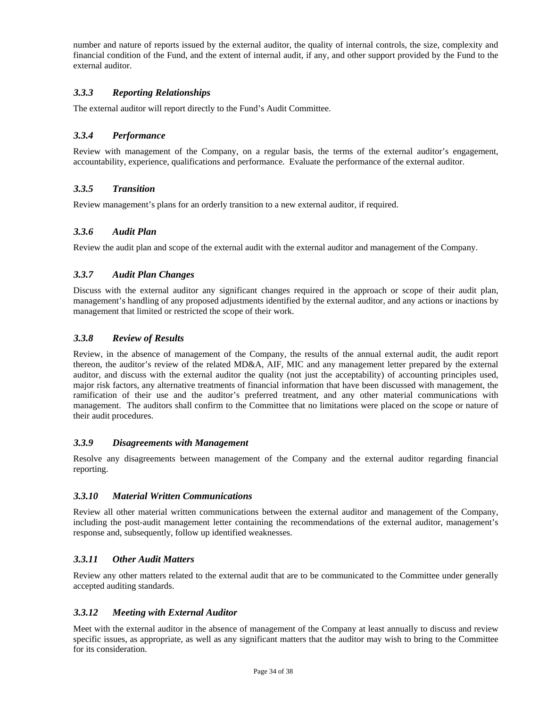number and nature of reports issued by the external auditor, the quality of internal controls, the size, complexity and financial condition of the Fund, and the extent of internal audit, if any, and other support provided by the Fund to the external auditor.

### *3.3.3 Reporting Relationships*

The external auditor will report directly to the Fund's Audit Committee.

### *3.3.4 Performance*

Review with management of the Company, on a regular basis, the terms of the external auditor's engagement, accountability, experience, qualifications and performance. Evaluate the performance of the external auditor.

### *3.3.5 Transition*

Review management's plans for an orderly transition to a new external auditor, if required.

### *3.3.6 Audit Plan*

Review the audit plan and scope of the external audit with the external auditor and management of the Company.

### *3.3.7 Audit Plan Changes*

Discuss with the external auditor any significant changes required in the approach or scope of their audit plan, management's handling of any proposed adjustments identified by the external auditor, and any actions or inactions by management that limited or restricted the scope of their work.

### *3.3.8 Review of Results*

Review, in the absence of management of the Company, the results of the annual external audit, the audit report thereon, the auditor's review of the related MD&A, AIF, MIC and any management letter prepared by the external auditor, and discuss with the external auditor the quality (not just the acceptability) of accounting principles used, major risk factors, any alternative treatments of financial information that have been discussed with management, the ramification of their use and the auditor's preferred treatment, and any other material communications with management. The auditors shall confirm to the Committee that no limitations were placed on the scope or nature of their audit procedures.

### *3.3.9 Disagreements with Management*

Resolve any disagreements between management of the Company and the external auditor regarding financial reporting.

### *3.3.10 Material Written Communications*

Review all other material written communications between the external auditor and management of the Company, including the post-audit management letter containing the recommendations of the external auditor, management's response and, subsequently, follow up identified weaknesses.

### *3.3.11 Other Audit Matters*

Review any other matters related to the external audit that are to be communicated to the Committee under generally accepted auditing standards.

### *3.3.12 Meeting with External Auditor*

Meet with the external auditor in the absence of management of the Company at least annually to discuss and review specific issues, as appropriate, as well as any significant matters that the auditor may wish to bring to the Committee for its consideration.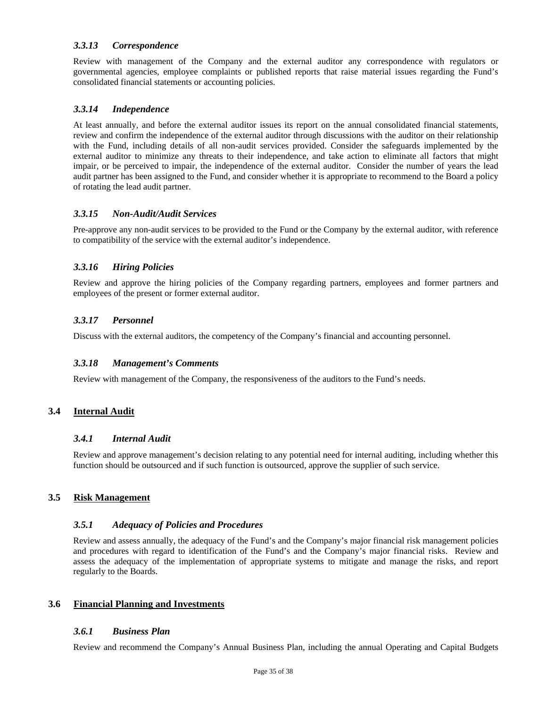### *3.3.13 Correspondence*

Review with management of the Company and the external auditor any correspondence with regulators or governmental agencies, employee complaints or published reports that raise material issues regarding the Fund's consolidated financial statements or accounting policies.

### *3.3.14 Independence*

At least annually, and before the external auditor issues its report on the annual consolidated financial statements, review and confirm the independence of the external auditor through discussions with the auditor on their relationship with the Fund, including details of all non-audit services provided. Consider the safeguards implemented by the external auditor to minimize any threats to their independence, and take action to eliminate all factors that might impair, or be perceived to impair, the independence of the external auditor. Consider the number of years the lead audit partner has been assigned to the Fund, and consider whether it is appropriate to recommend to the Board a policy of rotating the lead audit partner.

### *3.3.15 Non-Audit/Audit Services*

Pre-approve any non-audit services to be provided to the Fund or the Company by the external auditor, with reference to compatibility of the service with the external auditor's independence.

### *3.3.16 Hiring Policies*

Review and approve the hiring policies of the Company regarding partners, employees and former partners and employees of the present or former external auditor.

# *3.3.17 Personnel*

Discuss with the external auditors, the competency of the Company's financial and accounting personnel.

### *3.3.18 Management's Comments*

Review with management of the Company, the responsiveness of the auditors to the Fund's needs.

# **3.4 Internal Audit**

### *3.4.1 Internal Audit*

Review and approve management's decision relating to any potential need for internal auditing, including whether this function should be outsourced and if such function is outsourced, approve the supplier of such service.

# **3.5 Risk Management**

### *3.5.1 Adequacy of Policies and Procedures*

Review and assess annually, the adequacy of the Fund's and the Company's major financial risk management policies and procedures with regard to identification of the Fund's and the Company's major financial risks. Review and assess the adequacy of the implementation of appropriate systems to mitigate and manage the risks, and report regularly to the Boards.

### **3.6 Financial Planning and Investments**

### *3.6.1 Business Plan*

Review and recommend the Company's Annual Business Plan, including the annual Operating and Capital Budgets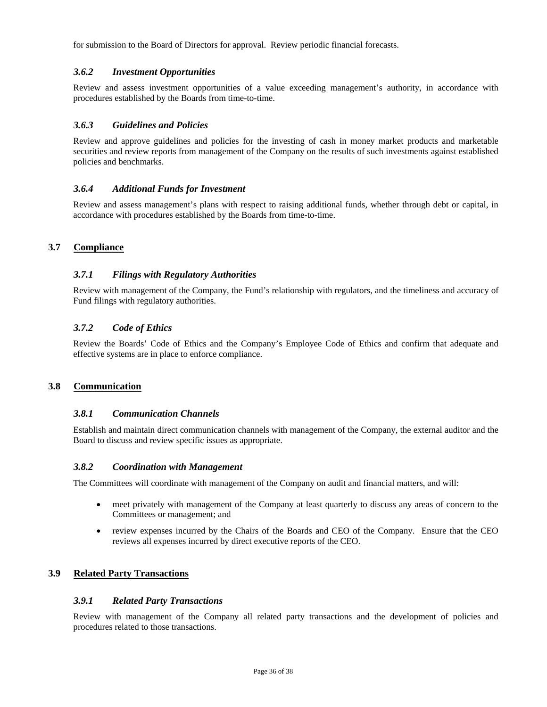for submission to the Board of Directors for approval. Review periodic financial forecasts.

### *3.6.2 Investment Opportunities*

Review and assess investment opportunities of a value exceeding management's authority, in accordance with procedures established by the Boards from time-to-time.

### *3.6.3 Guidelines and Policies*

Review and approve guidelines and policies for the investing of cash in money market products and marketable securities and review reports from management of the Company on the results of such investments against established policies and benchmarks.

### *3.6.4 Additional Funds for Investment*

Review and assess management's plans with respect to raising additional funds, whether through debt or capital, in accordance with procedures established by the Boards from time-to-time.

### **3.7 Compliance**

### *3.7.1 Filings with Regulatory Authorities*

Review with management of the Company, the Fund's relationship with regulators, and the timeliness and accuracy of Fund filings with regulatory authorities.

### *3.7.2 Code of Ethics*

Review the Boards' Code of Ethics and the Company's Employee Code of Ethics and confirm that adequate and effective systems are in place to enforce compliance.

### **3.8 Communication**

### *3.8.1 Communication Channels*

Establish and maintain direct communication channels with management of the Company, the external auditor and the Board to discuss and review specific issues as appropriate.

### *3.8.2 Coordination with Management*

The Committees will coordinate with management of the Company on audit and financial matters, and will:

- meet privately with management of the Company at least quarterly to discuss any areas of concern to the Committees or management; and
- review expenses incurred by the Chairs of the Boards and CEO of the Company. Ensure that the CEO reviews all expenses incurred by direct executive reports of the CEO.

# **3.9 Related Party Transactions**

### *3.9.1 Related Party Transactions*

Review with management of the Company all related party transactions and the development of policies and procedures related to those transactions.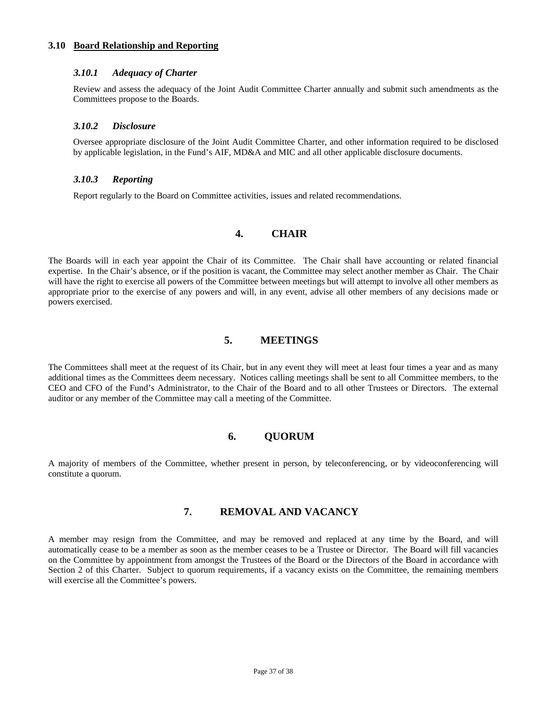#### **3.10 Board Relationship and Reporting**

#### *3.10.1 Adequacy of Charter*

Review and assess the adequacy of the Joint Audit Committee Charter annually and submit such amendments as the Committees propose to the Boards.

### *3.10.2 Disclosure*

Oversee appropriate disclosure of the Joint Audit Committee Charter, and other information required to be disclosed by applicable legislation, in the Fund's AIF, MD&A and MIC and all other applicable disclosure documents.

### *3.10.3 Reporting*

Report regularly to the Board on Committee activities, issues and related recommendations.

### **4. CHAIR**

The Boards will in each year appoint the Chair of its Committee. The Chair shall have accounting or related financial expertise. In the Chair's absence, or if the position is vacant, the Committee may select another member as Chair. The Chair will have the right to exercise all powers of the Committee between meetings but will attempt to involve all other members as appropriate prior to the exercise of any powers and will, in any event, advise all other members of any decisions made or powers exercised.

### **5. MEETINGS**

The Committees shall meet at the request of its Chair, but in any event they will meet at least four times a year and as many additional times as the Committees deem necessary. Notices calling meetings shall be sent to all Committee members, to the CEO and CFO of the Fund's Administrator, to the Chair of the Board and to all other Trustees or Directors. The external auditor or any member of the Committee may call a meeting of the Committee.

### **6. QUORUM**

A majority of members of the Committee, whether present in person, by teleconferencing, or by videoconferencing will constitute a quorum.

# **7. REMOVAL AND VACANCY**

A member may resign from the Committee, and may be removed and replaced at any time by the Board, and will automatically cease to be a member as soon as the member ceases to be a Trustee or Director. The Board will fill vacancies on the Committee by appointment from amongst the Trustees of the Board or the Directors of the Board in accordance with Section 2 of this Charter. Subject to quorum requirements, if a vacancy exists on the Committee, the remaining members will exercise all the Committee's powers.